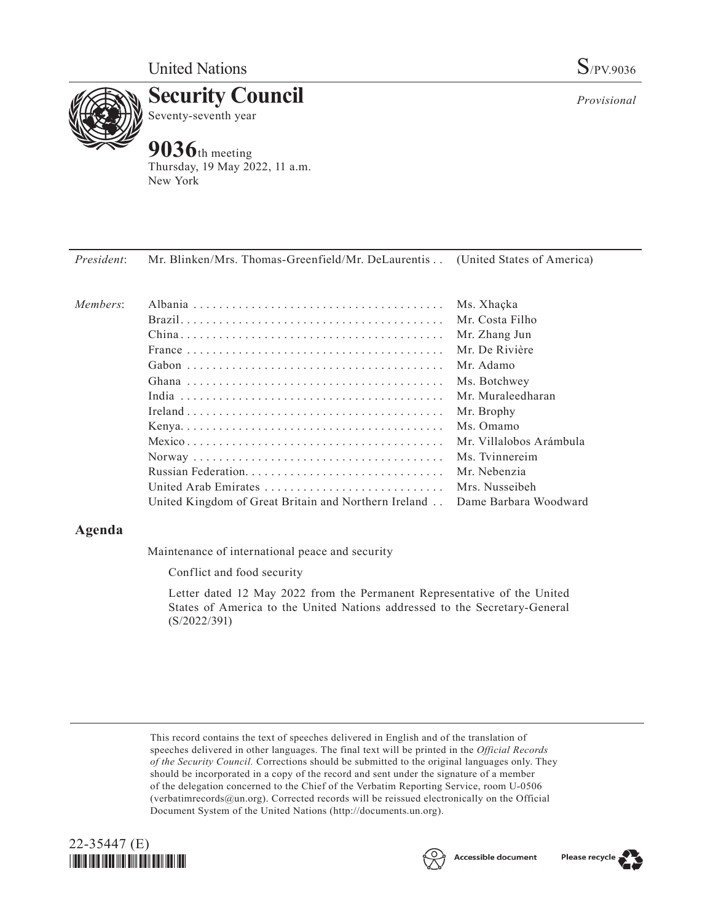

**Security Council** Seventy-seventh year

# **9036**th meeting

Thursday, 19 May 2022, 11 a.m. New York

*President*: Mr. Blinken/Mrs. Thomas-Greenfield/Mr. DeLaurentis. . . (United States of America)

| Members: |                                                                            | Ms. Xhaçka              |
|----------|----------------------------------------------------------------------------|-------------------------|
|          |                                                                            | Mr. Costa Filho         |
|          |                                                                            | Mr. Zhang Jun           |
|          |                                                                            | Mr. De Rivière          |
|          |                                                                            | Mr. Adamo               |
|          |                                                                            | Ms. Botchwey            |
|          |                                                                            | Mr. Muraleedharan       |
|          |                                                                            | Mr. Brophy              |
|          |                                                                            | Ms. Omamo               |
|          |                                                                            | Mr. Villalobos Arámbula |
|          |                                                                            |                         |
|          |                                                                            | Mr. Nebenzia            |
|          | United Arab Emirates                                                       | Mrs. Nusseibeh          |
|          | United Kingdom of Great Britain and Northern Ireland Dame Barbara Woodward |                         |

## **Agenda**

Maintenance of international peace and security

Conflict and food security

Letter dated 12 May 2022 from the Permanent Representative of the United States of America to the United Nations addressed to the Secretary-General (S/2022/391)

This record contains the text of speeches delivered in English and of the translation of speeches delivered in other languages. The final text will be printed in the *Official Records of the Security Council.* Corrections should be submitted to the original languages only. They should be incorporated in a copy of the record and sent under the signature of a member of the delegation concerned to the Chief of the Verbatim Reporting Service, room U-0506 (verbatimrecords@un.org). Corrected records will be reissued electronically on the Official Document System of the United Nations (http://documents.un.org).





*Provisional*

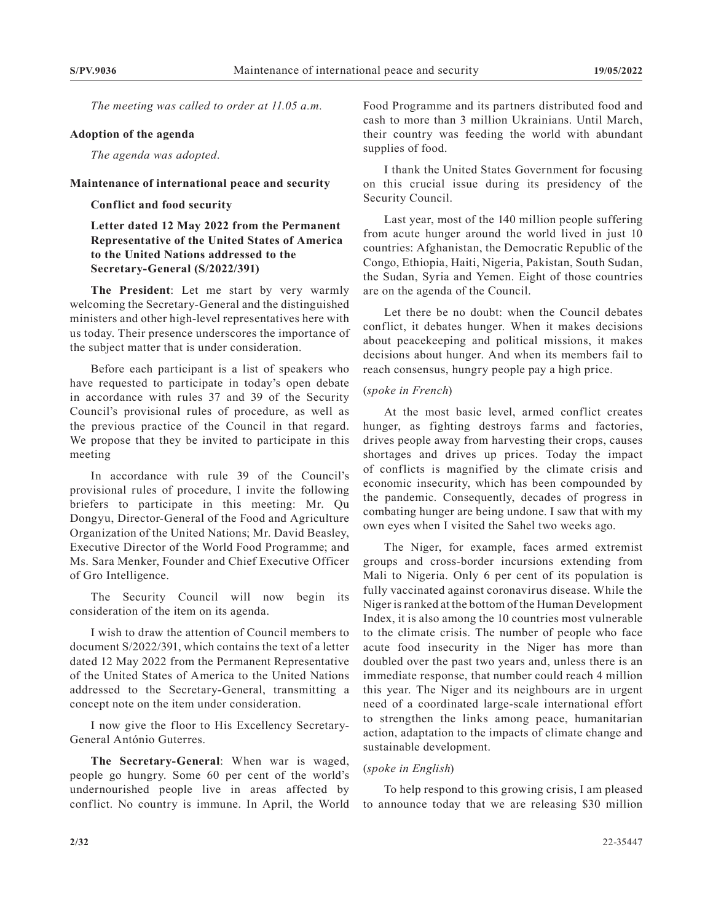*The meeting was called to order at 11.05 a.m.*

#### **Adoption of the agenda**

*The agenda was adopted.*

#### **Maintenance of international peace and security**

#### **Conflict and food security**

## **Letter dated 12 May 2022 from the Permanent Representative of the United States of America to the United Nations addressed to the Secretary-General (S/2022/391)**

**The President**: Let me start by very warmly welcoming the Secretary-General and the distinguished ministers and other high-level representatives here with us today. Their presence underscores the importance of the subject matter that is under consideration.

Before each participant is a list of speakers who have requested to participate in today's open debate in accordance with rules 37 and 39 of the Security Council's provisional rules of procedure, as well as the previous practice of the Council in that regard. We propose that they be invited to participate in this meeting

In accordance with rule 39 of the Council's provisional rules of procedure, I invite the following briefers to participate in this meeting: Mr. Qu Dongyu, Director-General of the Food and Agriculture Organization of the United Nations; Mr. David Beasley, Executive Director of the World Food Programme; and Ms. Sara Menker, Founder and Chief Executive Officer of Gro Intelligence.

The Security Council will now begin its consideration of the item on its agenda.

I wish to draw the attention of Council members to document S/2022/391, which contains the text of a letter dated 12 May 2022 from the Permanent Representative of the United States of America to the United Nations addressed to the Secretary-General, transmitting a concept note on the item under consideration.

I now give the floor to His Excellency Secretary-General António Guterres.

**The Secretary-General**: When war is waged, people go hungry. Some 60 per cent of the world's undernourished people live in areas affected by conflict. No country is immune. In April, the World

Food Programme and its partners distributed food and cash to more than 3 million Ukrainians. Until March, their country was feeding the world with abundant supplies of food.

I thank the United States Government for focusing on this crucial issue during its presidency of the Security Council.

Last year, most of the 140 million people suffering from acute hunger around the world lived in just 10 countries: Afghanistan, the Democratic Republic of the Congo, Ethiopia, Haiti, Nigeria, Pakistan, South Sudan, the Sudan, Syria and Yemen. Eight of those countries are on the agenda of the Council.

Let there be no doubt: when the Council debates conflict, it debates hunger. When it makes decisions about peacekeeping and political missions, it makes decisions about hunger. And when its members fail to reach consensus, hungry people pay a high price.

### (*spoke in French*)

At the most basic level, armed conflict creates hunger, as fighting destroys farms and factories, drives people away from harvesting their crops, causes shortages and drives up prices. Today the impact of conflicts is magnified by the climate crisis and economic insecurity, which has been compounded by the pandemic. Consequently, decades of progress in combating hunger are being undone. I saw that with my own eyes when I visited the Sahel two weeks ago.

The Niger, for example, faces armed extremist groups and cross-border incursions extending from Mali to Nigeria. Only 6 per cent of its population is fully vaccinated against coronavirus disease. While the Niger is ranked at the bottom of the Human Development Index, it is also among the 10 countries most vulnerable to the climate crisis. The number of people who face acute food insecurity in the Niger has more than doubled over the past two years and, unless there is an immediate response, that number could reach 4 million this year. The Niger and its neighbours are in urgent need of a coordinated large-scale international effort to strengthen the links among peace, humanitarian action, adaptation to the impacts of climate change and sustainable development.

#### (*spoke in English*)

To help respond to this growing crisis, I am pleased to announce today that we are releasing \$30 million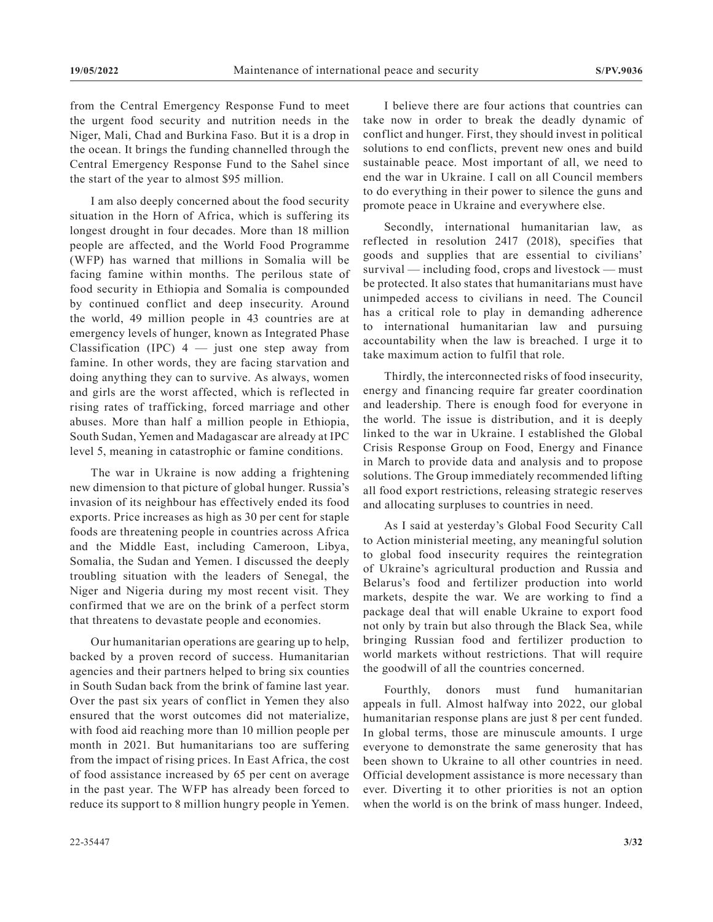from the Central Emergency Response Fund to meet the urgent food security and nutrition needs in the Niger, Mali, Chad and Burkina Faso. But it is a drop in the ocean. It brings the funding channelled through the Central Emergency Response Fund to the Sahel since the start of the year to almost \$95 million.

I am also deeply concerned about the food security situation in the Horn of Africa, which is suffering its longest drought in four decades. More than 18 million people are affected, and the World Food Programme (WFP) has warned that millions in Somalia will be facing famine within months. The perilous state of food security in Ethiopia and Somalia is compounded by continued conflict and deep insecurity. Around the world, 49 million people in 43 countries are at emergency levels of hunger, known as Integrated Phase Classification (IPC)  $4 -$  just one step away from famine. In other words, they are facing starvation and doing anything they can to survive. As always, women and girls are the worst affected, which is reflected in rising rates of trafficking, forced marriage and other abuses. More than half a million people in Ethiopia, South Sudan, Yemen and Madagascar are already at IPC level 5, meaning in catastrophic or famine conditions.

The war in Ukraine is now adding a frightening new dimension to that picture of global hunger. Russia's invasion of its neighbour has effectively ended its food exports. Price increases as high as 30 per cent for staple foods are threatening people in countries across Africa and the Middle East, including Cameroon, Libya, Somalia, the Sudan and Yemen. I discussed the deeply troubling situation with the leaders of Senegal, the Niger and Nigeria during my most recent visit. They confirmed that we are on the brink of a perfect storm that threatens to devastate people and economies.

Our humanitarian operations are gearing up to help, backed by a proven record of success. Humanitarian agencies and their partners helped to bring six counties in South Sudan back from the brink of famine last year. Over the past six years of conflict in Yemen they also ensured that the worst outcomes did not materialize, with food aid reaching more than 10 million people per month in 2021. But humanitarians too are suffering from the impact of rising prices. In East Africa, the cost of food assistance increased by 65 per cent on average in the past year. The WFP has already been forced to reduce its support to 8 million hungry people in Yemen.

I believe there are four actions that countries can take now in order to break the deadly dynamic of conflict and hunger. First, they should invest in political solutions to end conflicts, prevent new ones and build sustainable peace. Most important of all, we need to end the war in Ukraine. I call on all Council members to do everything in their power to silence the guns and promote peace in Ukraine and everywhere else.

Secondly, international humanitarian law, as reflected in resolution 2417 (2018), specifies that goods and supplies that are essential to civilians' survival — including food, crops and livestock — must be protected. It also states that humanitarians must have unimpeded access to civilians in need. The Council has a critical role to play in demanding adherence to international humanitarian law and pursuing accountability when the law is breached. I urge it to take maximum action to fulfil that role.

Thirdly, the interconnected risks of food insecurity, energy and financing require far greater coordination and leadership. There is enough food for everyone in the world. The issue is distribution, and it is deeply linked to the war in Ukraine. I established the Global Crisis Response Group on Food, Energy and Finance in March to provide data and analysis and to propose solutions. The Group immediately recommended lifting all food export restrictions, releasing strategic reserves and allocating surpluses to countries in need.

As I said at yesterday's Global Food Security Call to Action ministerial meeting, any meaningful solution to global food insecurity requires the reintegration of Ukraine's agricultural production and Russia and Belarus's food and fertilizer production into world markets, despite the war. We are working to find a package deal that will enable Ukraine to export food not only by train but also through the Black Sea, while bringing Russian food and fertilizer production to world markets without restrictions. That will require the goodwill of all the countries concerned.

Fourthly, donors must fund humanitarian appeals in full. Almost halfway into 2022, our global humanitarian response plans are just 8 per cent funded. In global terms, those are minuscule amounts. I urge everyone to demonstrate the same generosity that has been shown to Ukraine to all other countries in need. Official development assistance is more necessary than ever. Diverting it to other priorities is not an option when the world is on the brink of mass hunger. Indeed,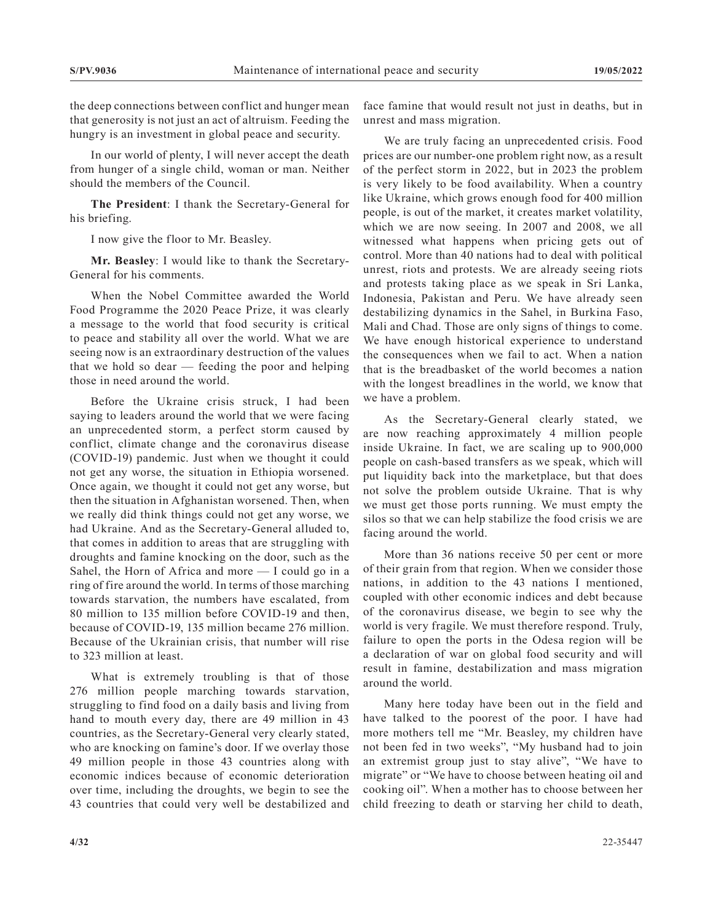the deep connections between conflict and hunger mean that generosity is not just an act of altruism. Feeding the hungry is an investment in global peace and security.

In our world of plenty, I will never accept the death from hunger of a single child, woman or man. Neither should the members of the Council.

**The President**: I thank the Secretary-General for his briefing.

I now give the floor to Mr. Beasley.

**Mr. Beasley**: I would like to thank the Secretary-General for his comments.

When the Nobel Committee awarded the World Food Programme the 2020 Peace Prize, it was clearly a message to the world that food security is critical to peace and stability all over the world. What we are seeing now is an extraordinary destruction of the values that we hold so dear — feeding the poor and helping those in need around the world.

Before the Ukraine crisis struck, I had been saying to leaders around the world that we were facing an unprecedented storm, a perfect storm caused by conflict, climate change and the coronavirus disease (COVID-19) pandemic. Just when we thought it could not get any worse, the situation in Ethiopia worsened. Once again, we thought it could not get any worse, but then the situation in Afghanistan worsened. Then, when we really did think things could not get any worse, we had Ukraine. And as the Secretary-General alluded to, that comes in addition to areas that are struggling with droughts and famine knocking on the door, such as the Sahel, the Horn of Africa and more — I could go in a ring of fire around the world. In terms of those marching towards starvation, the numbers have escalated, from 80 million to 135 million before COVID-19 and then, because of COVID-19, 135 million became 276 million. Because of the Ukrainian crisis, that number will rise to 323 million at least.

What is extremely troubling is that of those 276 million people marching towards starvation, struggling to find food on a daily basis and living from hand to mouth every day, there are 49 million in 43 countries, as the Secretary-General very clearly stated, who are knocking on famine's door. If we overlay those 49 million people in those 43 countries along with economic indices because of economic deterioration over time, including the droughts, we begin to see the 43 countries that could very well be destabilized and face famine that would result not just in deaths, but in unrest and mass migration.

We are truly facing an unprecedented crisis. Food prices are our number-one problem right now, as a result of the perfect storm in 2022, but in 2023 the problem is very likely to be food availability. When a country like Ukraine, which grows enough food for 400 million people, is out of the market, it creates market volatility, which we are now seeing. In 2007 and 2008, we all witnessed what happens when pricing gets out of control. More than 40 nations had to deal with political unrest, riots and protests. We are already seeing riots and protests taking place as we speak in Sri Lanka, Indonesia, Pakistan and Peru. We have already seen destabilizing dynamics in the Sahel, in Burkina Faso, Mali and Chad. Those are only signs of things to come. We have enough historical experience to understand the consequences when we fail to act. When a nation that is the breadbasket of the world becomes a nation with the longest breadlines in the world, we know that we have a problem.

As the Secretary-General clearly stated, we are now reaching approximately 4 million people inside Ukraine. In fact, we are scaling up to 900,000 people on cash-based transfers as we speak, which will put liquidity back into the marketplace, but that does not solve the problem outside Ukraine. That is why we must get those ports running. We must empty the silos so that we can help stabilize the food crisis we are facing around the world.

More than 36 nations receive 50 per cent or more of their grain from that region. When we consider those nations, in addition to the 43 nations I mentioned, coupled with other economic indices and debt because of the coronavirus disease, we begin to see why the world is very fragile. We must therefore respond. Truly, failure to open the ports in the Odesa region will be a declaration of war on global food security and will result in famine, destabilization and mass migration around the world.

Many here today have been out in the field and have talked to the poorest of the poor. I have had more mothers tell me "Mr. Beasley, my children have not been fed in two weeks", "My husband had to join an extremist group just to stay alive", "We have to migrate" or "We have to choose between heating oil and cooking oil". When a mother has to choose between her child freezing to death or starving her child to death,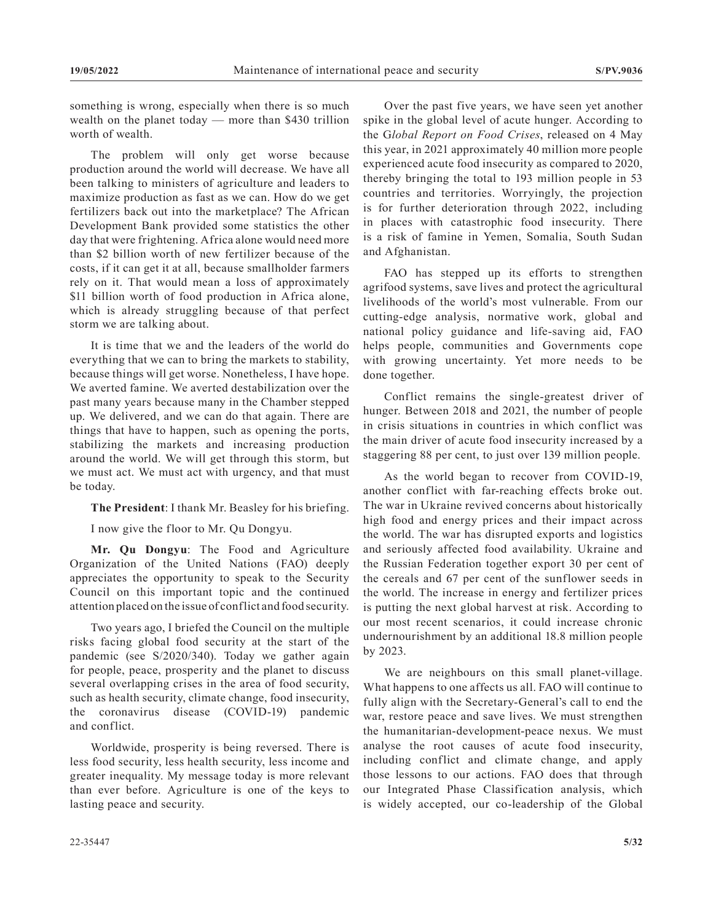something is wrong, especially when there is so much wealth on the planet today — more than \$430 trillion worth of wealth.

The problem will only get worse because production around the world will decrease. We have all been talking to ministers of agriculture and leaders to maximize production as fast as we can. How do we get fertilizers back out into the marketplace? The African Development Bank provided some statistics the other day that were frightening. Africa alone would need more than \$2 billion worth of new fertilizer because of the costs, if it can get it at all, because smallholder farmers rely on it. That would mean a loss of approximately \$11 billion worth of food production in Africa alone, which is already struggling because of that perfect storm we are talking about.

It is time that we and the leaders of the world do everything that we can to bring the markets to stability, because things will get worse. Nonetheless, I have hope. We averted famine. We averted destabilization over the past many years because many in the Chamber stepped up. We delivered, and we can do that again. There are things that have to happen, such as opening the ports, stabilizing the markets and increasing production around the world. We will get through this storm, but we must act. We must act with urgency, and that must be today.

**The President**: I thank Mr. Beasley for his briefing.

I now give the floor to Mr. Qu Dongyu.

**Mr. Qu Dongyu**: The Food and Agriculture Organization of the United Nations (FAO) deeply appreciates the opportunity to speak to the Security Council on this important topic and the continued attention placed on the issue of conflict and food security.

Two years ago, I briefed the Council on the multiple risks facing global food security at the start of the pandemic (see S/2020/340). Today we gather again for people, peace, prosperity and the planet to discuss several overlapping crises in the area of food security, such as health security, climate change, food insecurity, the coronavirus disease (COVID-19) pandemic and conflict.

Worldwide, prosperity is being reversed. There is less food security, less health security, less income and greater inequality. My message today is more relevant than ever before. Agriculture is one of the keys to lasting peace and security.

Over the past five years, we have seen yet another spike in the global level of acute hunger. According to the G*lobal Report on Food Crises*, released on 4 May this year, in 2021 approximately 40 million more people experienced acute food insecurity as compared to 2020, thereby bringing the total to 193 million people in 53 countries and territories. Worryingly, the projection is for further deterioration through 2022, including in places with catastrophic food insecurity. There is a risk of famine in Yemen, Somalia, South Sudan and Afghanistan.

FAO has stepped up its efforts to strengthen agrifood systems, save lives and protect the agricultural livelihoods of the world's most vulnerable. From our cutting-edge analysis, normative work, global and national policy guidance and life-saving aid, FAO helps people, communities and Governments cope with growing uncertainty. Yet more needs to be done together.

Conflict remains the single-greatest driver of hunger. Between 2018 and 2021, the number of people in crisis situations in countries in which conflict was the main driver of acute food insecurity increased by a staggering 88 per cent, to just over 139 million people.

As the world began to recover from COVID-19, another conflict with far-reaching effects broke out. The war in Ukraine revived concerns about historically high food and energy prices and their impact across the world. The war has disrupted exports and logistics and seriously affected food availability. Ukraine and the Russian Federation together export 30 per cent of the cereals and 67 per cent of the sunflower seeds in the world. The increase in energy and fertilizer prices is putting the next global harvest at risk. According to our most recent scenarios, it could increase chronic undernourishment by an additional 18.8 million people by 2023.

We are neighbours on this small planet-village. What happens to one affects us all. FAO will continue to fully align with the Secretary-General's call to end the war, restore peace and save lives. We must strengthen the humanitarian-development-peace nexus. We must analyse the root causes of acute food insecurity, including conflict and climate change, and apply those lessons to our actions. FAO does that through our Integrated Phase Classification analysis, which is widely accepted, our co-leadership of the Global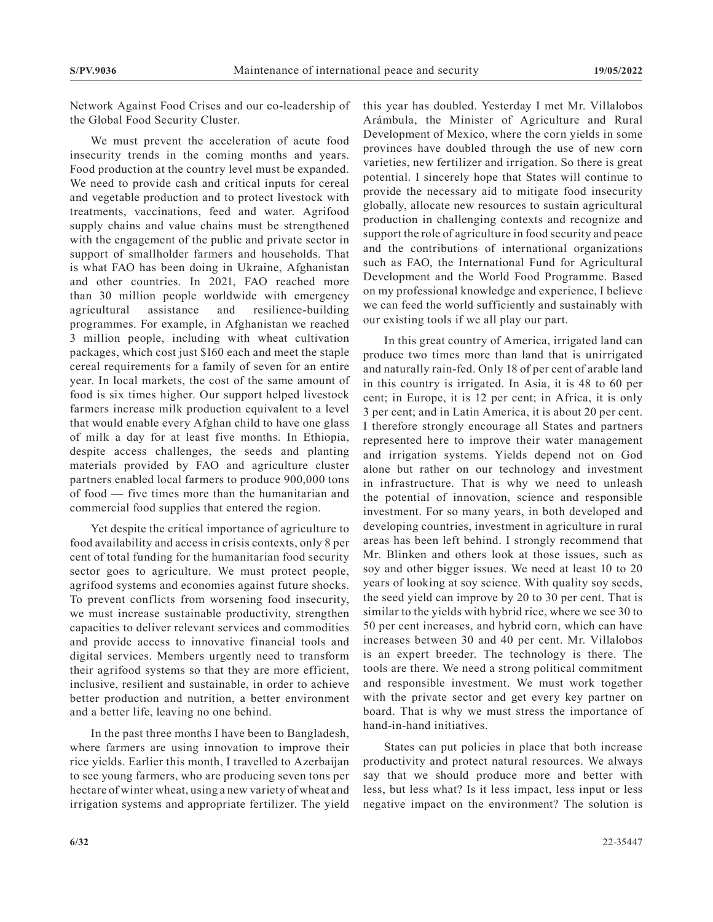Network Against Food Crises and our co-leadership of the Global Food Security Cluster.

We must prevent the acceleration of acute food insecurity trends in the coming months and years. Food production at the country level must be expanded. We need to provide cash and critical inputs for cereal and vegetable production and to protect livestock with treatments, vaccinations, feed and water. Agrifood supply chains and value chains must be strengthened with the engagement of the public and private sector in support of smallholder farmers and households. That is what FAO has been doing in Ukraine, Afghanistan and other countries. In 2021, FAO reached more than 30 million people worldwide with emergency agricultural assistance and resilience-building programmes. For example, in Afghanistan we reached 3 million people, including with wheat cultivation packages, which cost just \$160 each and meet the staple cereal requirements for a family of seven for an entire year. In local markets, the cost of the same amount of food is six times higher. Our support helped livestock farmers increase milk production equivalent to a level that would enable every Afghan child to have one glass of milk a day for at least five months. In Ethiopia, despite access challenges, the seeds and planting materials provided by FAO and agriculture cluster partners enabled local farmers to produce 900,000 tons of food — five times more than the humanitarian and commercial food supplies that entered the region.

Yet despite the critical importance of agriculture to food availability and access in crisis contexts, only 8 per cent of total funding for the humanitarian food security sector goes to agriculture. We must protect people, agrifood systems and economies against future shocks. To prevent conflicts from worsening food insecurity, we must increase sustainable productivity, strengthen capacities to deliver relevant services and commodities and provide access to innovative financial tools and digital services. Members urgently need to transform their agrifood systems so that they are more efficient, inclusive, resilient and sustainable, in order to achieve better production and nutrition, a better environment and a better life, leaving no one behind.

In the past three months I have been to Bangladesh, where farmers are using innovation to improve their rice yields. Earlier this month, I travelled to Azerbaijan to see young farmers, who are producing seven tons per hectare of winter wheat, using a new variety of wheat and irrigation systems and appropriate fertilizer. The yield

this year has doubled. Yesterday I met Mr. Villalobos Arámbula, the Minister of Agriculture and Rural Development of Mexico, where the corn yields in some provinces have doubled through the use of new corn varieties, new fertilizer and irrigation. So there is great potential. I sincerely hope that States will continue to provide the necessary aid to mitigate food insecurity globally, allocate new resources to sustain agricultural production in challenging contexts and recognize and support the role of agriculture in food security and peace and the contributions of international organizations such as FAO, the International Fund for Agricultural Development and the World Food Programme. Based on my professional knowledge and experience, I believe we can feed the world sufficiently and sustainably with our existing tools if we all play our part.

In this great country of America, irrigated land can produce two times more than land that is unirrigated and naturally rain-fed. Only 18 of per cent of arable land in this country is irrigated. In Asia, it is 48 to 60 per cent; in Europe, it is 12 per cent; in Africa, it is only 3 per cent; and in Latin America, it is about 20 per cent. I therefore strongly encourage all States and partners represented here to improve their water management and irrigation systems. Yields depend not on God alone but rather on our technology and investment in infrastructure. That is why we need to unleash the potential of innovation, science and responsible investment. For so many years, in both developed and developing countries, investment in agriculture in rural areas has been left behind. I strongly recommend that Mr. Blinken and others look at those issues, such as soy and other bigger issues. We need at least 10 to 20 years of looking at soy science. With quality soy seeds, the seed yield can improve by 20 to 30 per cent. That is similar to the yields with hybrid rice, where we see 30 to 50 per cent increases, and hybrid corn, which can have increases between 30 and 40 per cent. Mr. Villalobos is an expert breeder. The technology is there. The tools are there. We need a strong political commitment and responsible investment. We must work together with the private sector and get every key partner on board. That is why we must stress the importance of hand-in-hand initiatives.

States can put policies in place that both increase productivity and protect natural resources. We always say that we should produce more and better with less, but less what? Is it less impact, less input or less negative impact on the environment? The solution is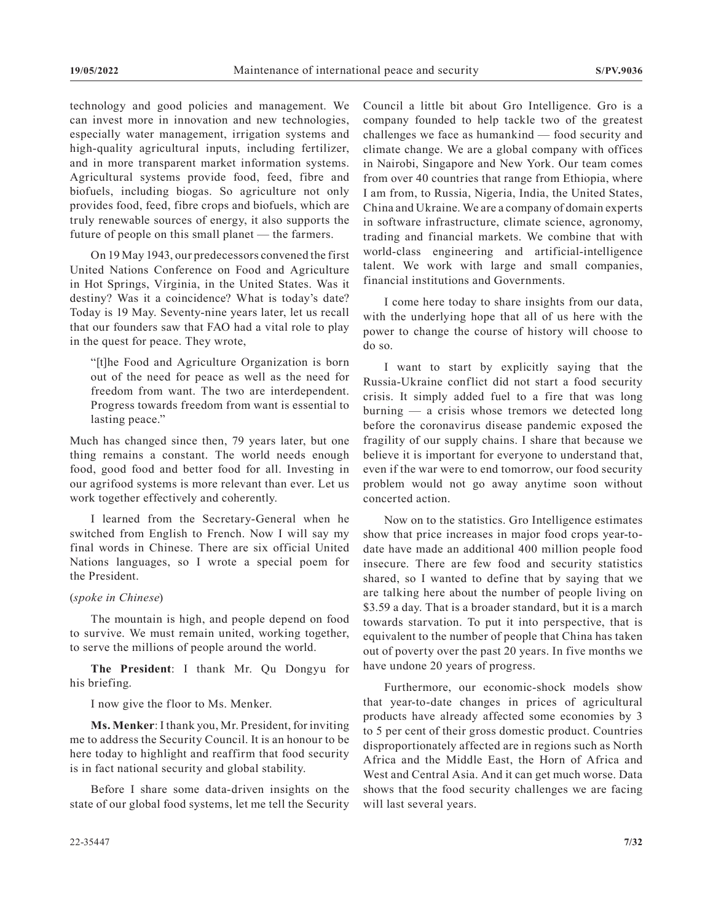technology and good policies and management. We can invest more in innovation and new technologies, especially water management, irrigation systems and high-quality agricultural inputs, including fertilizer, and in more transparent market information systems. Agricultural systems provide food, feed, fibre and biofuels, including biogas. So agriculture not only provides food, feed, fibre crops and biofuels, which are truly renewable sources of energy, it also supports the future of people on this small planet — the farmers.

On 19 May 1943, our predecessors convened the first United Nations Conference on Food and Agriculture in Hot Springs, Virginia, in the United States. Was it destiny? Was it a coincidence? What is today's date? Today is 19 May. Seventy-nine years later, let us recall that our founders saw that FAO had a vital role to play in the quest for peace. They wrote,

"[t]he Food and Agriculture Organization is born out of the need for peace as well as the need for freedom from want. The two are interdependent. Progress towards freedom from want is essential to lasting peace."

Much has changed since then, 79 years later, but one thing remains a constant. The world needs enough food, good food and better food for all. Investing in our agrifood systems is more relevant than ever. Let us work together effectively and coherently.

I learned from the Secretary-General when he switched from English to French. Now I will say my final words in Chinese. There are six official United Nations languages, so I wrote a special poem for the President.

#### (*spoke in Chinese*)

The mountain is high, and people depend on food to survive. We must remain united, working together, to serve the millions of people around the world.

**The President**: I thank Mr. Qu Dongyu for his briefing.

I now give the floor to Ms. Menker.

**Ms. Menker**: I thank you, Mr. President, for inviting me to address the Security Council. It is an honour to be here today to highlight and reaffirm that food security is in fact national security and global stability.

Before I share some data-driven insights on the state of our global food systems, let me tell the Security Council a little bit about Gro Intelligence. Gro is a company founded to help tackle two of the greatest challenges we face as humankind — food security and climate change. We are a global company with offices in Nairobi, Singapore and New York. Our team comes from over 40 countries that range from Ethiopia, where I am from, to Russia, Nigeria, India, the United States, China and Ukraine. We are a company of domain experts in software infrastructure, climate science, agronomy, trading and financial markets. We combine that with world-class engineering and artificial-intelligence talent. We work with large and small companies, financial institutions and Governments.

I come here today to share insights from our data, with the underlying hope that all of us here with the power to change the course of history will choose to do so.

I want to start by explicitly saying that the Russia-Ukraine conflict did not start a food security crisis. It simply added fuel to a fire that was long  $burning$  — a crisis whose tremors we detected long before the coronavirus disease pandemic exposed the fragility of our supply chains. I share that because we believe it is important for everyone to understand that, even if the war were to end tomorrow, our food security problem would not go away anytime soon without concerted action.

Now on to the statistics. Gro Intelligence estimates show that price increases in major food crops year-todate have made an additional 400 million people food insecure. There are few food and security statistics shared, so I wanted to define that by saying that we are talking here about the number of people living on \$3.59 a day. That is a broader standard, but it is a march towards starvation. To put it into perspective, that is equivalent to the number of people that China has taken out of poverty over the past 20 years. In five months we have undone 20 years of progress.

Furthermore, our economic-shock models show that year-to-date changes in prices of agricultural products have already affected some economies by 3 to 5 per cent of their gross domestic product. Countries disproportionately affected are in regions such as North Africa and the Middle East, the Horn of Africa and West and Central Asia. And it can get much worse. Data shows that the food security challenges we are facing will last several years.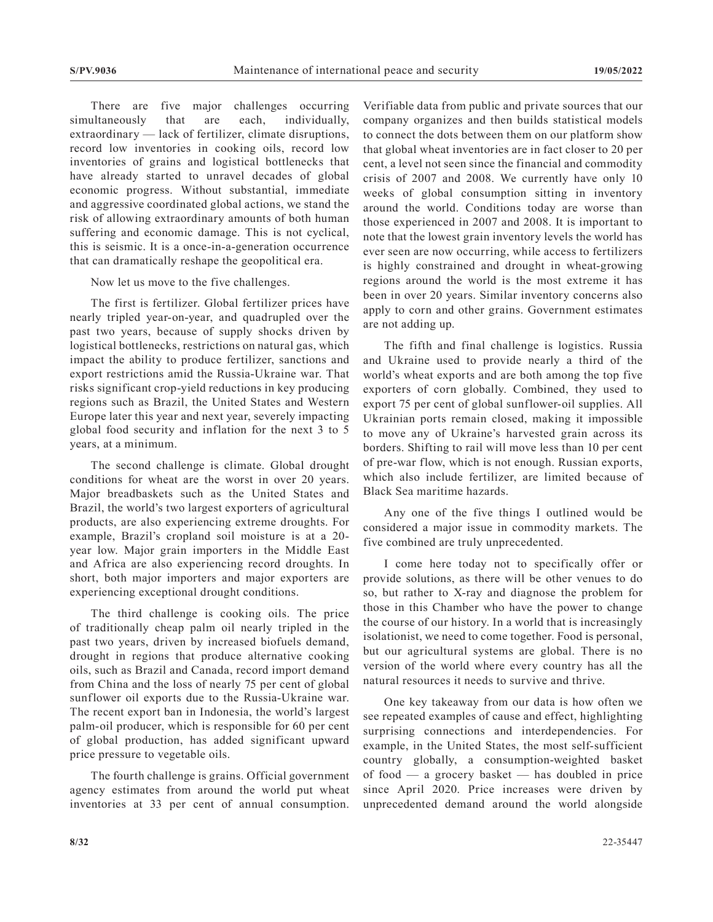There are five major challenges occurring simultaneously that are each, individually, extraordinary — lack of fertilizer, climate disruptions, record low inventories in cooking oils, record low inventories of grains and logistical bottlenecks that have already started to unravel decades of global economic progress. Without substantial, immediate and aggressive coordinated global actions, we stand the risk of allowing extraordinary amounts of both human suffering and economic damage. This is not cyclical, this is seismic. It is a once-in-a-generation occurrence that can dramatically reshape the geopolitical era.

Now let us move to the five challenges.

The first is fertilizer. Global fertilizer prices have nearly tripled year-on-year, and quadrupled over the past two years, because of supply shocks driven by logistical bottlenecks, restrictions on natural gas, which impact the ability to produce fertilizer, sanctions and export restrictions amid the Russia-Ukraine war. That risks significant crop-yield reductions in key producing regions such as Brazil, the United States and Western Europe later this year and next year, severely impacting global food security and inflation for the next 3 to 5 years, at a minimum.

The second challenge is climate. Global drought conditions for wheat are the worst in over 20 years. Major breadbaskets such as the United States and Brazil, the world's two largest exporters of agricultural products, are also experiencing extreme droughts. For example, Brazil's cropland soil moisture is at a 20 year low. Major grain importers in the Middle East and Africa are also experiencing record droughts. In short, both major importers and major exporters are experiencing exceptional drought conditions.

The third challenge is cooking oils. The price of traditionally cheap palm oil nearly tripled in the past two years, driven by increased biofuels demand, drought in regions that produce alternative cooking oils, such as Brazil and Canada, record import demand from China and the loss of nearly 75 per cent of global sunflower oil exports due to the Russia-Ukraine war. The recent export ban in Indonesia, the world's largest palm-oil producer, which is responsible for 60 per cent of global production, has added significant upward price pressure to vegetable oils.

The fourth challenge is grains. Official government agency estimates from around the world put wheat inventories at 33 per cent of annual consumption.

Verifiable data from public and private sources that our company organizes and then builds statistical models to connect the dots between them on our platform show that global wheat inventories are in fact closer to 20 per cent, a level not seen since the financial and commodity crisis of 2007 and 2008. We currently have only 10 weeks of global consumption sitting in inventory around the world. Conditions today are worse than those experienced in 2007 and 2008. It is important to note that the lowest grain inventory levels the world has ever seen are now occurring, while access to fertilizers is highly constrained and drought in wheat-growing regions around the world is the most extreme it has been in over 20 years. Similar inventory concerns also apply to corn and other grains. Government estimates are not adding up.

The fifth and final challenge is logistics. Russia and Ukraine used to provide nearly a third of the world's wheat exports and are both among the top five exporters of corn globally. Combined, they used to export 75 per cent of global sunflower-oil supplies. All Ukrainian ports remain closed, making it impossible to move any of Ukraine's harvested grain across its borders. Shifting to rail will move less than 10 per cent of pre-war flow, which is not enough. Russian exports, which also include fertilizer, are limited because of Black Sea maritime hazards.

Any one of the five things I outlined would be considered a major issue in commodity markets. The five combined are truly unprecedented.

I come here today not to specifically offer or provide solutions, as there will be other venues to do so, but rather to X-ray and diagnose the problem for those in this Chamber who have the power to change the course of our history. In a world that is increasingly isolationist, we need to come together. Food is personal, but our agricultural systems are global. There is no version of the world where every country has all the natural resources it needs to survive and thrive.

One key takeaway from our data is how often we see repeated examples of cause and effect, highlighting surprising connections and interdependencies. For example, in the United States, the most self-sufficient country globally, a consumption-weighted basket of food — a grocery basket — has doubled in price since April 2020. Price increases were driven by unprecedented demand around the world alongside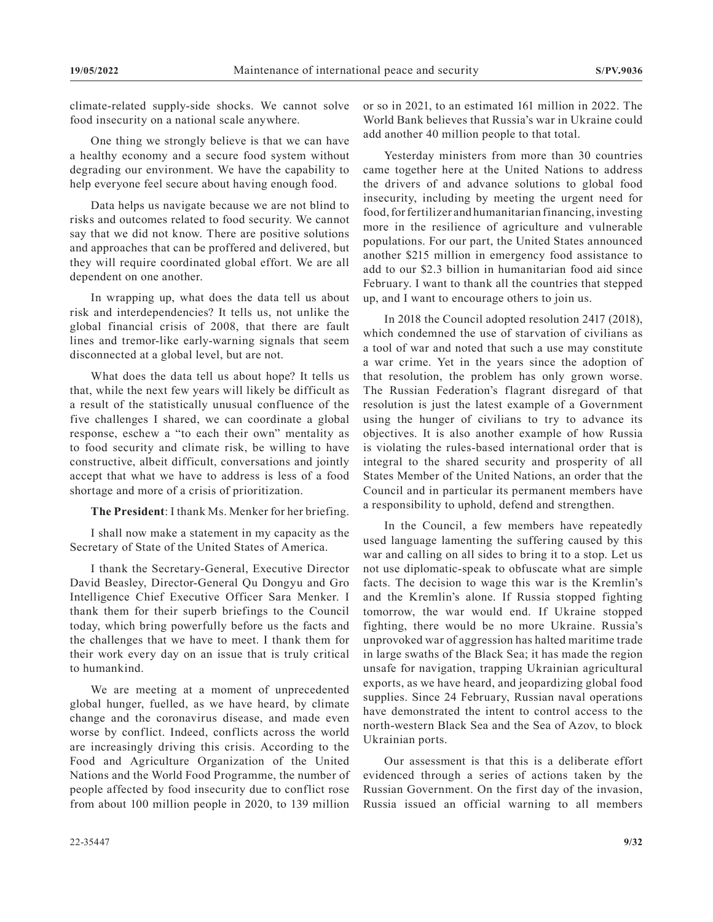climate-related supply-side shocks. We cannot solve food insecurity on a national scale anywhere.

One thing we strongly believe is that we can have a healthy economy and a secure food system without degrading our environment. We have the capability to help everyone feel secure about having enough food.

Data helps us navigate because we are not blind to risks and outcomes related to food security. We cannot say that we did not know. There are positive solutions and approaches that can be proffered and delivered, but they will require coordinated global effort. We are all dependent on one another.

In wrapping up, what does the data tell us about risk and interdependencies? It tells us, not unlike the global financial crisis of 2008, that there are fault lines and tremor-like early-warning signals that seem disconnected at a global level, but are not.

What does the data tell us about hope? It tells us that, while the next few years will likely be difficult as a result of the statistically unusual confluence of the five challenges I shared, we can coordinate a global response, eschew a "to each their own" mentality as to food security and climate risk, be willing to have constructive, albeit difficult, conversations and jointly accept that what we have to address is less of a food shortage and more of a crisis of prioritization.

**The President**: I thank Ms. Menker for her briefing.

I shall now make a statement in my capacity as the Secretary of State of the United States of America.

I thank the Secretary-General, Executive Director David Beasley, Director-General Qu Dongyu and Gro Intelligence Chief Executive Officer Sara Menker. I thank them for their superb briefings to the Council today, which bring powerfully before us the facts and the challenges that we have to meet. I thank them for their work every day on an issue that is truly critical to humankind.

We are meeting at a moment of unprecedented global hunger, fuelled, as we have heard, by climate change and the coronavirus disease, and made even worse by conflict. Indeed, conflicts across the world are increasingly driving this crisis. According to the Food and Agriculture Organization of the United Nations and the World Food Programme, the number of people affected by food insecurity due to conflict rose from about 100 million people in 2020, to 139 million

or so in 2021, to an estimated 161 million in 2022. The World Bank believes that Russia's war in Ukraine could add another 40 million people to that total.

Yesterday ministers from more than 30 countries came together here at the United Nations to address the drivers of and advance solutions to global food insecurity, including by meeting the urgent need for food, for fertilizer and humanitarian financing, investing more in the resilience of agriculture and vulnerable populations. For our part, the United States announced another \$215 million in emergency food assistance to add to our \$2.3 billion in humanitarian food aid since February. I want to thank all the countries that stepped up, and I want to encourage others to join us.

In 2018 the Council adopted resolution 2417 (2018), which condemned the use of starvation of civilians as a tool of war and noted that such a use may constitute a war crime. Yet in the years since the adoption of that resolution, the problem has only grown worse. The Russian Federation's flagrant disregard of that resolution is just the latest example of a Government using the hunger of civilians to try to advance its objectives. It is also another example of how Russia is violating the rules-based international order that is integral to the shared security and prosperity of all States Member of the United Nations, an order that the Council and in particular its permanent members have a responsibility to uphold, defend and strengthen.

In the Council, a few members have repeatedly used language lamenting the suffering caused by this war and calling on all sides to bring it to a stop. Let us not use diplomatic-speak to obfuscate what are simple facts. The decision to wage this war is the Kremlin's and the Kremlin's alone. If Russia stopped fighting tomorrow, the war would end. If Ukraine stopped fighting, there would be no more Ukraine. Russia's unprovoked war of aggression has halted maritime trade in large swaths of the Black Sea; it has made the region unsafe for navigation, trapping Ukrainian agricultural exports, as we have heard, and jeopardizing global food supplies. Since 24 February, Russian naval operations have demonstrated the intent to control access to the north-western Black Sea and the Sea of Azov, to block Ukrainian ports.

Our assessment is that this is a deliberate effort evidenced through a series of actions taken by the Russian Government. On the first day of the invasion, Russia issued an official warning to all members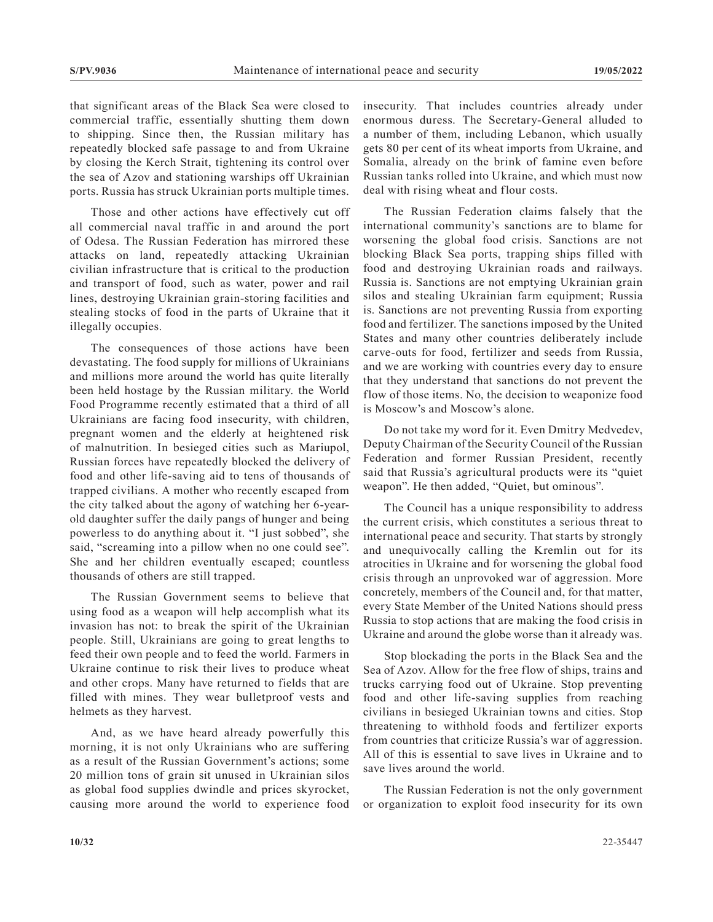that significant areas of the Black Sea were closed to commercial traffic, essentially shutting them down to shipping. Since then, the Russian military has repeatedly blocked safe passage to and from Ukraine by closing the Kerch Strait, tightening its control over the sea of Azov and stationing warships off Ukrainian ports. Russia has struck Ukrainian ports multiple times.

Those and other actions have effectively cut off all commercial naval traffic in and around the port of Odesa. The Russian Federation has mirrored these attacks on land, repeatedly attacking Ukrainian civilian infrastructure that is critical to the production and transport of food, such as water, power and rail lines, destroying Ukrainian grain-storing facilities and stealing stocks of food in the parts of Ukraine that it illegally occupies.

The consequences of those actions have been devastating. The food supply for millions of Ukrainians and millions more around the world has quite literally been held hostage by the Russian military. the World Food Programme recently estimated that a third of all Ukrainians are facing food insecurity, with children, pregnant women and the elderly at heightened risk of malnutrition. In besieged cities such as Mariupol, Russian forces have repeatedly blocked the delivery of food and other life-saving aid to tens of thousands of trapped civilians. A mother who recently escaped from the city talked about the agony of watching her 6-yearold daughter suffer the daily pangs of hunger and being powerless to do anything about it. "I just sobbed", she said, "screaming into a pillow when no one could see". She and her children eventually escaped; countless thousands of others are still trapped.

The Russian Government seems to believe that using food as a weapon will help accomplish what its invasion has not: to break the spirit of the Ukrainian people. Still, Ukrainians are going to great lengths to feed their own people and to feed the world. Farmers in Ukraine continue to risk their lives to produce wheat and other crops. Many have returned to fields that are filled with mines. They wear bulletproof vests and helmets as they harvest.

And, as we have heard already powerfully this morning, it is not only Ukrainians who are suffering as a result of the Russian Government's actions; some 20 million tons of grain sit unused in Ukrainian silos as global food supplies dwindle and prices skyrocket, causing more around the world to experience food

insecurity. That includes countries already under enormous duress. The Secretary-General alluded to a number of them, including Lebanon, which usually gets 80 per cent of its wheat imports from Ukraine, and Somalia, already on the brink of famine even before Russian tanks rolled into Ukraine, and which must now deal with rising wheat and flour costs.

The Russian Federation claims falsely that the international community's sanctions are to blame for worsening the global food crisis. Sanctions are not blocking Black Sea ports, trapping ships filled with food and destroying Ukrainian roads and railways. Russia is. Sanctions are not emptying Ukrainian grain silos and stealing Ukrainian farm equipment; Russia is. Sanctions are not preventing Russia from exporting food and fertilizer. The sanctions imposed by the United States and many other countries deliberately include carve-outs for food, fertilizer and seeds from Russia, and we are working with countries every day to ensure that they understand that sanctions do not prevent the flow of those items. No, the decision to weaponize food is Moscow's and Moscow's alone.

Do not take my word for it. Even Dmitry Medvedev, Deputy Chairman of the Security Council of the Russian Federation and former Russian President, recently said that Russia's agricultural products were its "quiet weapon". He then added, "Quiet, but ominous".

The Council has a unique responsibility to address the current crisis, which constitutes a serious threat to international peace and security. That starts by strongly and unequivocally calling the Kremlin out for its atrocities in Ukraine and for worsening the global food crisis through an unprovoked war of aggression. More concretely, members of the Council and, for that matter, every State Member of the United Nations should press Russia to stop actions that are making the food crisis in Ukraine and around the globe worse than it already was.

Stop blockading the ports in the Black Sea and the Sea of Azov. Allow for the free flow of ships, trains and trucks carrying food out of Ukraine. Stop preventing food and other life-saving supplies from reaching civilians in besieged Ukrainian towns and cities. Stop threatening to withhold foods and fertilizer exports from countries that criticize Russia's war of aggression. All of this is essential to save lives in Ukraine and to save lives around the world.

The Russian Federation is not the only government or organization to exploit food insecurity for its own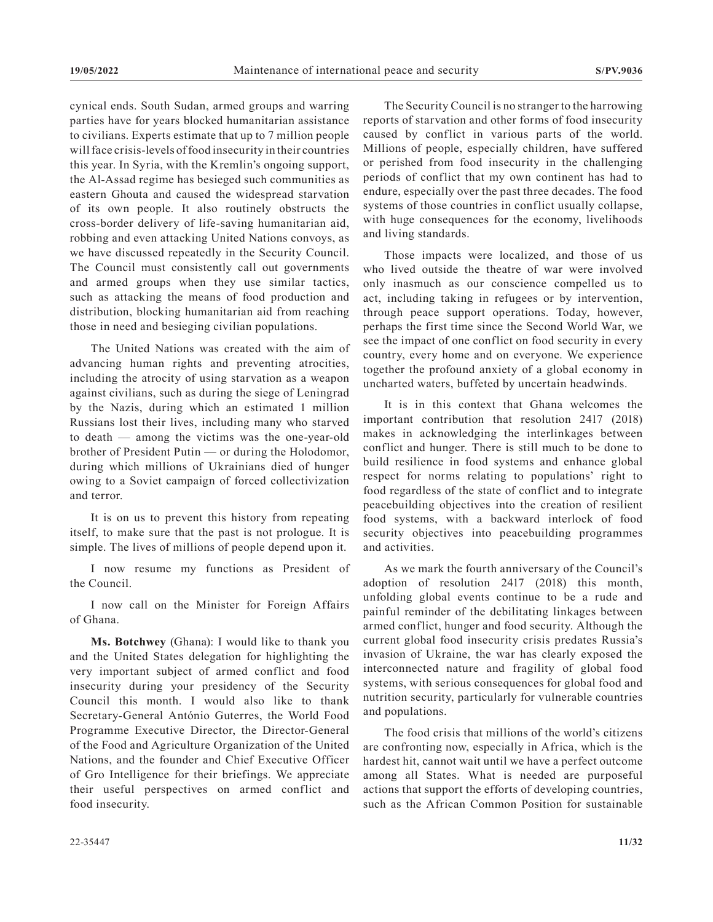cynical ends. South Sudan, armed groups and warring parties have for years blocked humanitarian assistance to civilians. Experts estimate that up to 7 million people will face crisis-levels of food insecurity in their countries this year. In Syria, with the Kremlin's ongoing support, the Al-Assad regime has besieged such communities as eastern Ghouta and caused the widespread starvation of its own people. It also routinely obstructs the cross-border delivery of life-saving humanitarian aid, robbing and even attacking United Nations convoys, as we have discussed repeatedly in the Security Council. The Council must consistently call out governments and armed groups when they use similar tactics, such as attacking the means of food production and distribution, blocking humanitarian aid from reaching those in need and besieging civilian populations.

The United Nations was created with the aim of advancing human rights and preventing atrocities, including the atrocity of using starvation as a weapon against civilians, such as during the siege of Leningrad by the Nazis, during which an estimated 1 million Russians lost their lives, including many who starved to death — among the victims was the one-year-old brother of President Putin — or during the Holodomor, during which millions of Ukrainians died of hunger owing to a Soviet campaign of forced collectivization and terror.

It is on us to prevent this history from repeating itself, to make sure that the past is not prologue. It is simple. The lives of millions of people depend upon it.

I now resume my functions as President of the Council.

I now call on the Minister for Foreign Affairs of Ghana.

**Ms. Botchwey** (Ghana): I would like to thank you and the United States delegation for highlighting the very important subject of armed conflict and food insecurity during your presidency of the Security Council this month. I would also like to thank Secretary-General António Guterres, the World Food Programme Executive Director, the Director-General of the Food and Agriculture Organization of the United Nations, and the founder and Chief Executive Officer of Gro Intelligence for their briefings. We appreciate their useful perspectives on armed conflict and food insecurity.

The Security Council is no stranger to the harrowing reports of starvation and other forms of food insecurity caused by conflict in various parts of the world. Millions of people, especially children, have suffered or perished from food insecurity in the challenging periods of conflict that my own continent has had to endure, especially over the past three decades. The food systems of those countries in conflict usually collapse, with huge consequences for the economy, livelihoods and living standards.

Those impacts were localized, and those of us who lived outside the theatre of war were involved only inasmuch as our conscience compelled us to act, including taking in refugees or by intervention, through peace support operations. Today, however, perhaps the first time since the Second World War, we see the impact of one conflict on food security in every country, every home and on everyone. We experience together the profound anxiety of a global economy in uncharted waters, buffeted by uncertain headwinds.

It is in this context that Ghana welcomes the important contribution that resolution 2417 (2018) makes in acknowledging the interlinkages between conflict and hunger. There is still much to be done to build resilience in food systems and enhance global respect for norms relating to populations' right to food regardless of the state of conflict and to integrate peacebuilding objectives into the creation of resilient food systems, with a backward interlock of food security objectives into peacebuilding programmes and activities.

As we mark the fourth anniversary of the Council's adoption of resolution 2417 (2018) this month, unfolding global events continue to be a rude and painful reminder of the debilitating linkages between armed conflict, hunger and food security. Although the current global food insecurity crisis predates Russia's invasion of Ukraine, the war has clearly exposed the interconnected nature and fragility of global food systems, with serious consequences for global food and nutrition security, particularly for vulnerable countries and populations.

The food crisis that millions of the world's citizens are confronting now, especially in Africa, which is the hardest hit, cannot wait until we have a perfect outcome among all States. What is needed are purposeful actions that support the efforts of developing countries, such as the African Common Position for sustainable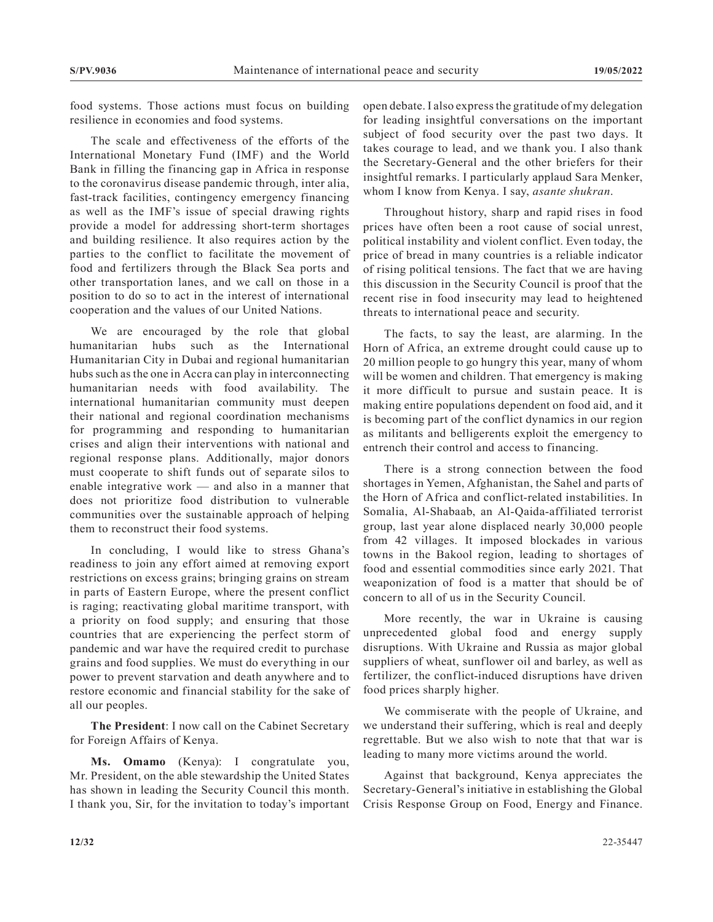food systems. Those actions must focus on building resilience in economies and food systems.

The scale and effectiveness of the efforts of the International Monetary Fund (IMF) and the World Bank in filling the financing gap in Africa in response to the coronavirus disease pandemic through, inter alia, fast-track facilities, contingency emergency financing as well as the IMF's issue of special drawing rights provide a model for addressing short-term shortages and building resilience. It also requires action by the parties to the conflict to facilitate the movement of food and fertilizers through the Black Sea ports and other transportation lanes, and we call on those in a position to do so to act in the interest of international cooperation and the values of our United Nations.

We are encouraged by the role that global humanitarian hubs such as the International Humanitarian City in Dubai and regional humanitarian hubs such as the one in Accra can play in interconnecting humanitarian needs with food availability. The international humanitarian community must deepen their national and regional coordination mechanisms for programming and responding to humanitarian crises and align their interventions with national and regional response plans. Additionally, major donors must cooperate to shift funds out of separate silos to enable integrative work — and also in a manner that does not prioritize food distribution to vulnerable communities over the sustainable approach of helping them to reconstruct their food systems.

In concluding, I would like to stress Ghana's readiness to join any effort aimed at removing export restrictions on excess grains; bringing grains on stream in parts of Eastern Europe, where the present conflict is raging; reactivating global maritime transport, with a priority on food supply; and ensuring that those countries that are experiencing the perfect storm of pandemic and war have the required credit to purchase grains and food supplies. We must do everything in our power to prevent starvation and death anywhere and to restore economic and financial stability for the sake of all our peoples.

**The President**: I now call on the Cabinet Secretary for Foreign Affairs of Kenya.

**Ms. Omamo** (Kenya): I congratulate you, Mr. President, on the able stewardship the United States has shown in leading the Security Council this month. I thank you, Sir, for the invitation to today's important open debate. I also express the gratitude of my delegation for leading insightful conversations on the important subject of food security over the past two days. It takes courage to lead, and we thank you. I also thank the Secretary-General and the other briefers for their insightful remarks. I particularly applaud Sara Menker, whom I know from Kenya. I say, *asante shukran*.

Throughout history, sharp and rapid rises in food prices have often been a root cause of social unrest, political instability and violent conflict. Even today, the price of bread in many countries is a reliable indicator of rising political tensions. The fact that we are having this discussion in the Security Council is proof that the recent rise in food insecurity may lead to heightened threats to international peace and security.

The facts, to say the least, are alarming. In the Horn of Africa, an extreme drought could cause up to 20 million people to go hungry this year, many of whom will be women and children. That emergency is making it more difficult to pursue and sustain peace. It is making entire populations dependent on food aid, and it is becoming part of the conflict dynamics in our region as militants and belligerents exploit the emergency to entrench their control and access to financing.

There is a strong connection between the food shortages in Yemen, Afghanistan, the Sahel and parts of the Horn of Africa and conflict-related instabilities. In Somalia, Al-Shabaab, an Al-Qaida-affiliated terrorist group, last year alone displaced nearly 30,000 people from 42 villages. It imposed blockades in various towns in the Bakool region, leading to shortages of food and essential commodities since early 2021. That weaponization of food is a matter that should be of concern to all of us in the Security Council.

More recently, the war in Ukraine is causing unprecedented global food and energy supply disruptions. With Ukraine and Russia as major global suppliers of wheat, sunflower oil and barley, as well as fertilizer, the conflict-induced disruptions have driven food prices sharply higher.

We commiserate with the people of Ukraine, and we understand their suffering, which is real and deeply regrettable. But we also wish to note that that war is leading to many more victims around the world.

Against that background, Kenya appreciates the Secretary-General's initiative in establishing the Global Crisis Response Group on Food, Energy and Finance.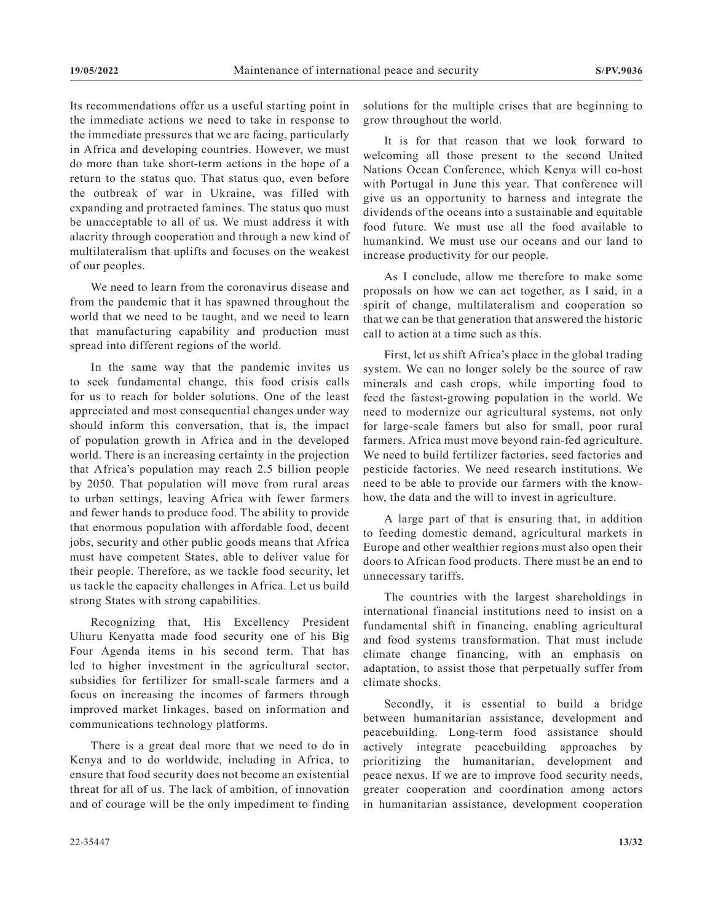Its recommendations offer us a useful starting point in the immediate actions we need to take in response to the immediate pressures that we are facing, particularly in Africa and developing countries. However, we must do more than take short-term actions in the hope of a return to the status quo. That status quo, even before the outbreak of war in Ukraine, was filled with expanding and protracted famines. The status quo must be unacceptable to all of us. We must address it with alacrity through cooperation and through a new kind of multilateralism that uplifts and focuses on the weakest of our peoples.

We need to learn from the coronavirus disease and from the pandemic that it has spawned throughout the world that we need to be taught, and we need to learn that manufacturing capability and production must spread into different regions of the world.

In the same way that the pandemic invites us to seek fundamental change, this food crisis calls for us to reach for bolder solutions. One of the least appreciated and most consequential changes under way should inform this conversation, that is, the impact of population growth in Africa and in the developed world. There is an increasing certainty in the projection that Africa's population may reach 2.5 billion people by 2050. That population will move from rural areas to urban settings, leaving Africa with fewer farmers and fewer hands to produce food. The ability to provide that enormous population with affordable food, decent jobs, security and other public goods means that Africa must have competent States, able to deliver value for their people. Therefore, as we tackle food security, let us tackle the capacity challenges in Africa. Let us build strong States with strong capabilities.

Recognizing that, His Excellency President Uhuru Kenyatta made food security one of his Big Four Agenda items in his second term. That has led to higher investment in the agricultural sector, subsidies for fertilizer for small-scale farmers and a focus on increasing the incomes of farmers through improved market linkages, based on information and communications technology platforms.

There is a great deal more that we need to do in Kenya and to do worldwide, including in Africa, to ensure that food security does not become an existential threat for all of us. The lack of ambition, of innovation and of courage will be the only impediment to finding

solutions for the multiple crises that are beginning to grow throughout the world.

It is for that reason that we look forward to welcoming all those present to the second United Nations Ocean Conference, which Kenya will co-host with Portugal in June this year. That conference will give us an opportunity to harness and integrate the dividends of the oceans into a sustainable and equitable food future. We must use all the food available to humankind. We must use our oceans and our land to increase productivity for our people.

As I conclude, allow me therefore to make some proposals on how we can act together, as I said, in a spirit of change, multilateralism and cooperation so that we can be that generation that answered the historic call to action at a time such as this.

First, let us shift Africa's place in the global trading system. We can no longer solely be the source of raw minerals and cash crops, while importing food to feed the fastest-growing population in the world. We need to modernize our agricultural systems, not only for large-scale famers but also for small, poor rural farmers. Africa must move beyond rain-fed agriculture. We need to build fertilizer factories, seed factories and pesticide factories. We need research institutions. We need to be able to provide our farmers with the knowhow, the data and the will to invest in agriculture.

A large part of that is ensuring that, in addition to feeding domestic demand, agricultural markets in Europe and other wealthier regions must also open their doors to African food products. There must be an end to unnecessary tariffs.

The countries with the largest shareholdings in international financial institutions need to insist on a fundamental shift in financing, enabling agricultural and food systems transformation. That must include climate change financing, with an emphasis on adaptation, to assist those that perpetually suffer from climate shocks.

Secondly, it is essential to build a bridge between humanitarian assistance, development and peacebuilding. Long-term food assistance should actively integrate peacebuilding approaches by prioritizing the humanitarian, development and peace nexus. If we are to improve food security needs, greater cooperation and coordination among actors in humanitarian assistance, development cooperation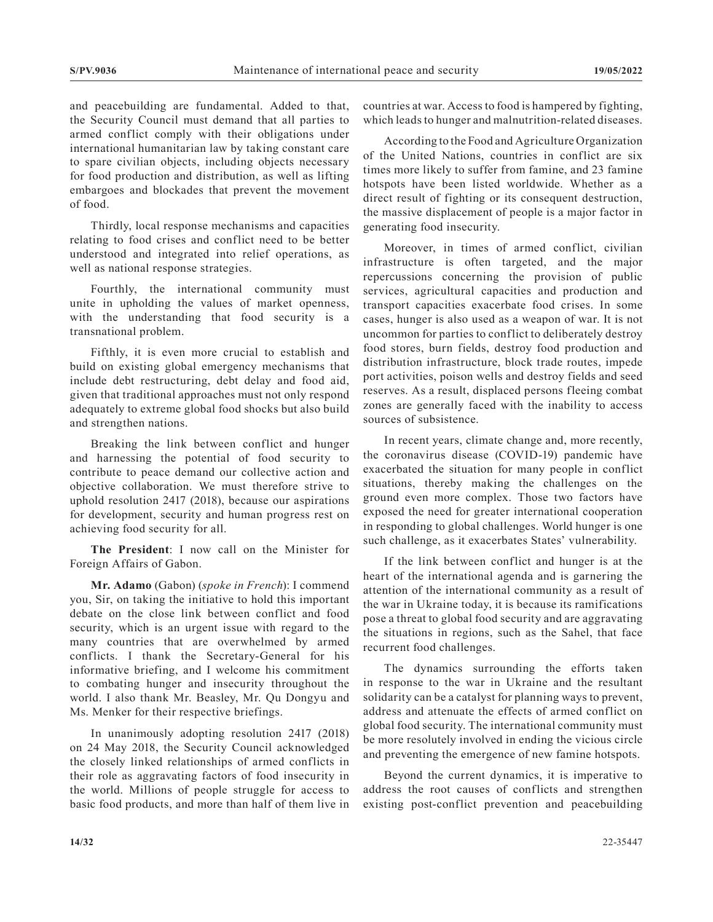and peacebuilding are fundamental. Added to that, the Security Council must demand that all parties to armed conflict comply with their obligations under international humanitarian law by taking constant care to spare civilian objects, including objects necessary for food production and distribution, as well as lifting embargoes and blockades that prevent the movement of food.

Thirdly, local response mechanisms and capacities relating to food crises and conflict need to be better understood and integrated into relief operations, as well as national response strategies.

Fourthly, the international community must unite in upholding the values of market openness, with the understanding that food security is a transnational problem.

Fifthly, it is even more crucial to establish and build on existing global emergency mechanisms that include debt restructuring, debt delay and food aid, given that traditional approaches must not only respond adequately to extreme global food shocks but also build and strengthen nations.

Breaking the link between conflict and hunger and harnessing the potential of food security to contribute to peace demand our collective action and objective collaboration. We must therefore strive to uphold resolution 2417 (2018), because our aspirations for development, security and human progress rest on achieving food security for all.

**The President**: I now call on the Minister for Foreign Affairs of Gabon.

**Mr. Adamo** (Gabon) (*spoke in French*): I commend you, Sir, on taking the initiative to hold this important debate on the close link between conflict and food security, which is an urgent issue with regard to the many countries that are overwhelmed by armed conflicts. I thank the Secretary-General for his informative briefing, and I welcome his commitment to combating hunger and insecurity throughout the world. I also thank Mr. Beasley, Mr. Qu Dongyu and Ms. Menker for their respective briefings.

In unanimously adopting resolution 2417 (2018) on 24 May 2018, the Security Council acknowledged the closely linked relationships of armed conflicts in their role as aggravating factors of food insecurity in the world. Millions of people struggle for access to basic food products, and more than half of them live in countries at war. Access to food is hampered by fighting, which leads to hunger and malnutrition-related diseases.

According to the Food and Agriculture Organization of the United Nations, countries in conflict are six times more likely to suffer from famine, and 23 famine hotspots have been listed worldwide. Whether as a direct result of fighting or its consequent destruction, the massive displacement of people is a major factor in generating food insecurity.

Moreover, in times of armed conflict, civilian infrastructure is often targeted, and the major repercussions concerning the provision of public services, agricultural capacities and production and transport capacities exacerbate food crises. In some cases, hunger is also used as a weapon of war. It is not uncommon for parties to conflict to deliberately destroy food stores, burn fields, destroy food production and distribution infrastructure, block trade routes, impede port activities, poison wells and destroy fields and seed reserves. As a result, displaced persons fleeing combat zones are generally faced with the inability to access sources of subsistence.

In recent years, climate change and, more recently, the coronavirus disease (COVID-19) pandemic have exacerbated the situation for many people in conflict situations, thereby making the challenges on the ground even more complex. Those two factors have exposed the need for greater international cooperation in responding to global challenges. World hunger is one such challenge, as it exacerbates States' vulnerability.

If the link between conflict and hunger is at the heart of the international agenda and is garnering the attention of the international community as a result of the war in Ukraine today, it is because its ramifications pose a threat to global food security and are aggravating the situations in regions, such as the Sahel, that face recurrent food challenges.

The dynamics surrounding the efforts taken in response to the war in Ukraine and the resultant solidarity can be a catalyst for planning ways to prevent, address and attenuate the effects of armed conflict on global food security. The international community must be more resolutely involved in ending the vicious circle and preventing the emergence of new famine hotspots.

Beyond the current dynamics, it is imperative to address the root causes of conflicts and strengthen existing post-conflict prevention and peacebuilding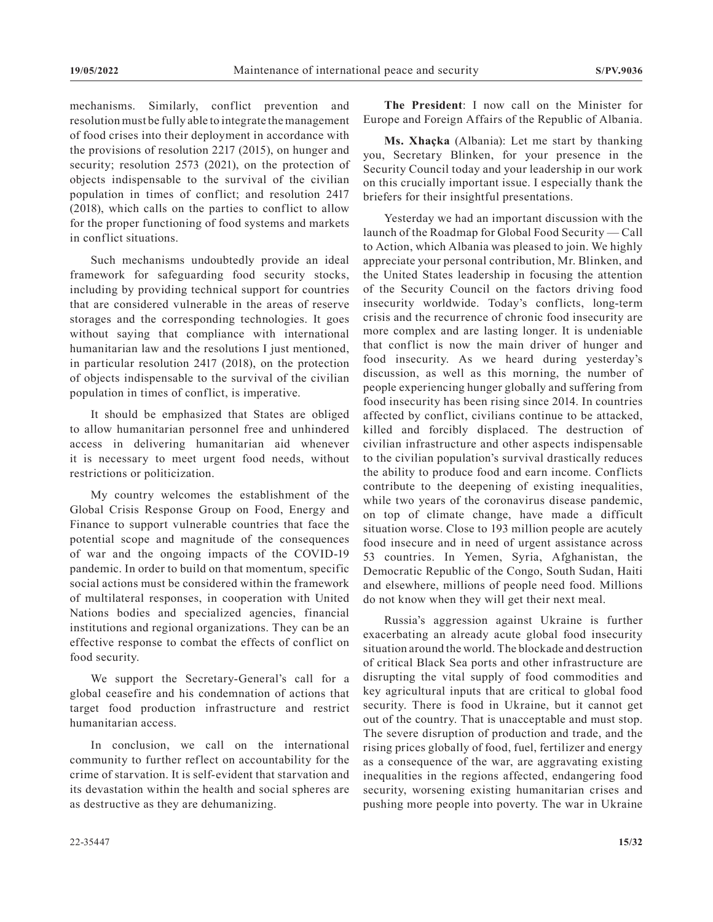mechanisms. Similarly, conflict prevention and resolution must be fully able to integrate the management of food crises into their deployment in accordance with the provisions of resolution 2217 (2015), on hunger and security; resolution 2573 (2021), on the protection of objects indispensable to the survival of the civilian population in times of conflict; and resolution 2417 (2018), which calls on the parties to conflict to allow for the proper functioning of food systems and markets in conflict situations.

Such mechanisms undoubtedly provide an ideal framework for safeguarding food security stocks, including by providing technical support for countries that are considered vulnerable in the areas of reserve storages and the corresponding technologies. It goes without saying that compliance with international humanitarian law and the resolutions I just mentioned, in particular resolution 2417 (2018), on the protection of objects indispensable to the survival of the civilian population in times of conflict, is imperative.

It should be emphasized that States are obliged to allow humanitarian personnel free and unhindered access in delivering humanitarian aid whenever it is necessary to meet urgent food needs, without restrictions or politicization.

My country welcomes the establishment of the Global Crisis Response Group on Food, Energy and Finance to support vulnerable countries that face the potential scope and magnitude of the consequences of war and the ongoing impacts of the COVID-19 pandemic. In order to build on that momentum, specific social actions must be considered within the framework of multilateral responses, in cooperation with United Nations bodies and specialized agencies, financial institutions and regional organizations. They can be an effective response to combat the effects of conflict on food security.

We support the Secretary-General's call for a global ceasefire and his condemnation of actions that target food production infrastructure and restrict humanitarian access.

In conclusion, we call on the international community to further reflect on accountability for the crime of starvation. It is self-evident that starvation and its devastation within the health and social spheres are as destructive as they are dehumanizing.

**The President**: I now call on the Minister for Europe and Foreign Affairs of the Republic of Albania.

**Ms. Xhaçka** (Albania): Let me start by thanking you, Secretary Blinken, for your presence in the Security Council today and your leadership in our work on this crucially important issue. I especially thank the briefers for their insightful presentations.

Yesterday we had an important discussion with the launch of the Roadmap for Global Food Security — Call to Action, which Albania was pleased to join. We highly appreciate your personal contribution, Mr. Blinken, and the United States leadership in focusing the attention of the Security Council on the factors driving food insecurity worldwide. Today's conflicts, long-term crisis and the recurrence of chronic food insecurity are more complex and are lasting longer. It is undeniable that conflict is now the main driver of hunger and food insecurity. As we heard during yesterday's discussion, as well as this morning, the number of people experiencing hunger globally and suffering from food insecurity has been rising since 2014. In countries affected by conflict, civilians continue to be attacked, killed and forcibly displaced. The destruction of civilian infrastructure and other aspects indispensable to the civilian population's survival drastically reduces the ability to produce food and earn income. Conflicts contribute to the deepening of existing inequalities, while two years of the coronavirus disease pandemic, on top of climate change, have made a difficult situation worse. Close to 193 million people are acutely food insecure and in need of urgent assistance across 53 countries. In Yemen, Syria, Afghanistan, the Democratic Republic of the Congo, South Sudan, Haiti and elsewhere, millions of people need food. Millions do not know when they will get their next meal.

Russia's aggression against Ukraine is further exacerbating an already acute global food insecurity situation around the world. The blockade and destruction of critical Black Sea ports and other infrastructure are disrupting the vital supply of food commodities and key agricultural inputs that are critical to global food security. There is food in Ukraine, but it cannot get out of the country. That is unacceptable and must stop. The severe disruption of production and trade, and the rising prices globally of food, fuel, fertilizer and energy as a consequence of the war, are aggravating existing inequalities in the regions affected, endangering food security, worsening existing humanitarian crises and pushing more people into poverty. The war in Ukraine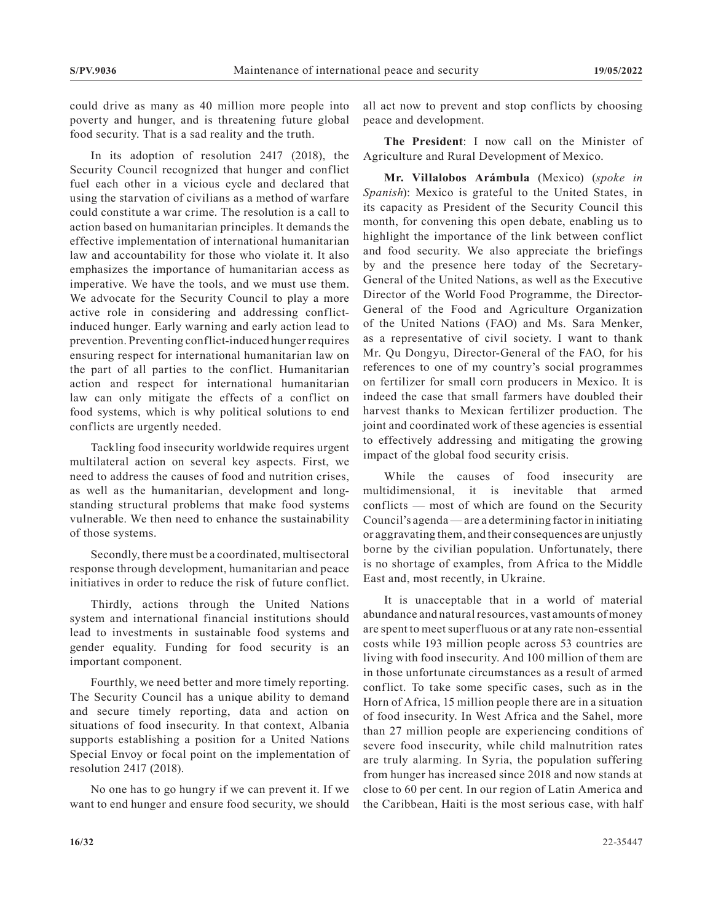could drive as many as 40 million more people into poverty and hunger, and is threatening future global food security. That is a sad reality and the truth.

In its adoption of resolution 2417 (2018), the Security Council recognized that hunger and conflict fuel each other in a vicious cycle and declared that using the starvation of civilians as a method of warfare could constitute a war crime. The resolution is a call to action based on humanitarian principles. It demands the effective implementation of international humanitarian law and accountability for those who violate it. It also emphasizes the importance of humanitarian access as imperative. We have the tools, and we must use them. We advocate for the Security Council to play a more active role in considering and addressing conflictinduced hunger. Early warning and early action lead to prevention. Preventing conflict-induced hunger requires ensuring respect for international humanitarian law on the part of all parties to the conflict. Humanitarian action and respect for international humanitarian law can only mitigate the effects of a conflict on food systems, which is why political solutions to end conflicts are urgently needed.

Tackling food insecurity worldwide requires urgent multilateral action on several key aspects. First, we need to address the causes of food and nutrition crises, as well as the humanitarian, development and longstanding structural problems that make food systems vulnerable. We then need to enhance the sustainability of those systems.

Secondly, there must be a coordinated, multisectoral response through development, humanitarian and peace initiatives in order to reduce the risk of future conflict.

Thirdly, actions through the United Nations system and international financial institutions should lead to investments in sustainable food systems and gender equality. Funding for food security is an important component.

Fourthly, we need better and more timely reporting. The Security Council has a unique ability to demand and secure timely reporting, data and action on situations of food insecurity. In that context, Albania supports establishing a position for a United Nations Special Envoy or focal point on the implementation of resolution 2417 (2018).

No one has to go hungry if we can prevent it. If we want to end hunger and ensure food security, we should all act now to prevent and stop conflicts by choosing peace and development.

**The President**: I now call on the Minister of Agriculture and Rural Development of Mexico.

**Mr. Villalobos Arámbula** (Mexico) (*spoke in Spanish*): Mexico is grateful to the United States, in its capacity as President of the Security Council this month, for convening this open debate, enabling us to highlight the importance of the link between conflict and food security. We also appreciate the briefings by and the presence here today of the Secretary-General of the United Nations, as well as the Executive Director of the World Food Programme, the Director-General of the Food and Agriculture Organization of the United Nations (FAO) and Ms. Sara Menker, as a representative of civil society. I want to thank Mr. Qu Dongyu, Director-General of the FAO, for his references to one of my country's social programmes on fertilizer for small corn producers in Mexico. It is indeed the case that small farmers have doubled their harvest thanks to Mexican fertilizer production. The joint and coordinated work of these agencies is essential to effectively addressing and mitigating the growing impact of the global food security crisis.

While the causes of food insecurity are multidimensional, it is inevitable that armed conflicts — most of which are found on the Security Council's agenda— are a determining factor in initiating or aggravating them, and their consequences are unjustly borne by the civilian population. Unfortunately, there is no shortage of examples, from Africa to the Middle East and, most recently, in Ukraine.

It is unacceptable that in a world of material abundance and natural resources, vast amounts of money are spent to meet superfluous or at any rate non-essential costs while 193 million people across 53 countries are living with food insecurity. And 100 million of them are in those unfortunate circumstances as a result of armed conflict. To take some specific cases, such as in the Horn of Africa, 15 million people there are in a situation of food insecurity. In West Africa and the Sahel, more than 27 million people are experiencing conditions of severe food insecurity, while child malnutrition rates are truly alarming. In Syria, the population suffering from hunger has increased since 2018 and now stands at close to 60 per cent. In our region of Latin America and the Caribbean, Haiti is the most serious case, with half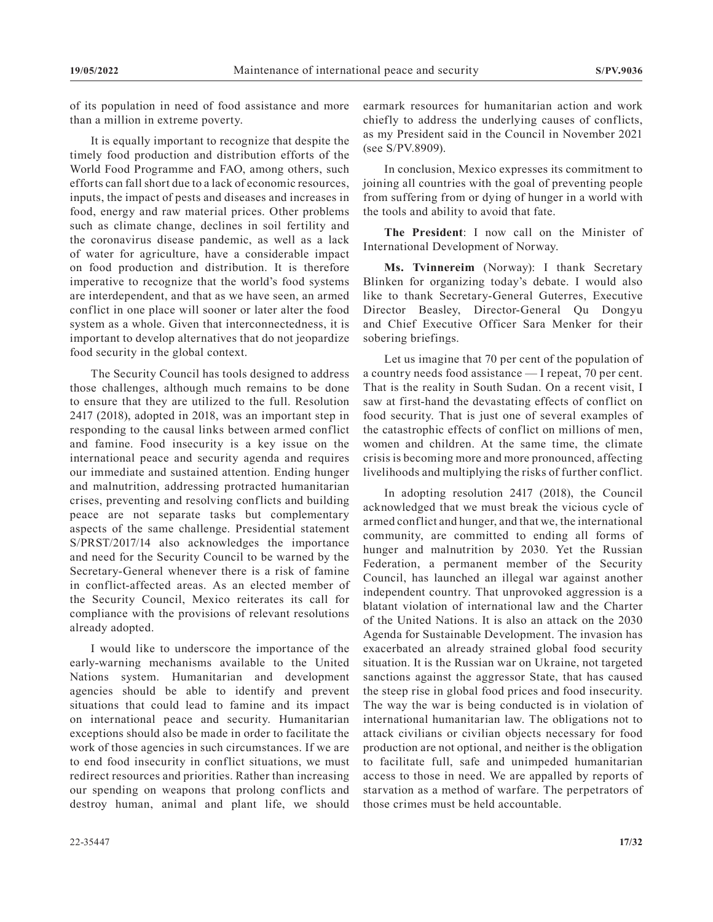of its population in need of food assistance and more than a million in extreme poverty.

It is equally important to recognize that despite the timely food production and distribution efforts of the World Food Programme and FAO, among others, such efforts can fall short due to a lack of economic resources, inputs, the impact of pests and diseases and increases in food, energy and raw material prices. Other problems such as climate change, declines in soil fertility and the coronavirus disease pandemic, as well as a lack of water for agriculture, have a considerable impact on food production and distribution. It is therefore imperative to recognize that the world's food systems are interdependent, and that as we have seen, an armed conflict in one place will sooner or later alter the food system as a whole. Given that interconnectedness, it is important to develop alternatives that do not jeopardize food security in the global context.

The Security Council has tools designed to address those challenges, although much remains to be done to ensure that they are utilized to the full. Resolution 2417 (2018), adopted in 2018, was an important step in responding to the causal links between armed conflict and famine. Food insecurity is a key issue on the international peace and security agenda and requires our immediate and sustained attention. Ending hunger and malnutrition, addressing protracted humanitarian crises, preventing and resolving conflicts and building peace are not separate tasks but complementary aspects of the same challenge. Presidential statement S/PRST/2017/14 also acknowledges the importance and need for the Security Council to be warned by the Secretary-General whenever there is a risk of famine in conflict-affected areas. As an elected member of the Security Council, Mexico reiterates its call for compliance with the provisions of relevant resolutions already adopted.

I would like to underscore the importance of the early-warning mechanisms available to the United Nations system. Humanitarian and development agencies should be able to identify and prevent situations that could lead to famine and its impact on international peace and security. Humanitarian exceptions should also be made in order to facilitate the work of those agencies in such circumstances. If we are to end food insecurity in conflict situations, we must redirect resources and priorities. Rather than increasing our spending on weapons that prolong conflicts and destroy human, animal and plant life, we should

earmark resources for humanitarian action and work chiefly to address the underlying causes of conflicts, as my President said in the Council in November 2021 (see S/PV.8909).

In conclusion, Mexico expresses its commitment to joining all countries with the goal of preventing people from suffering from or dying of hunger in a world with the tools and ability to avoid that fate.

**The President**: I now call on the Minister of International Development of Norway.

**Ms. Tvinnereim** (Norway): I thank Secretary Blinken for organizing today's debate. I would also like to thank Secretary-General Guterres, Executive Director Beasley, Director-General Qu Dongyu and Chief Executive Officer Sara Menker for their sobering briefings.

Let us imagine that 70 per cent of the population of a country needs food assistance — I repeat, 70 per cent. That is the reality in South Sudan. On a recent visit, I saw at first-hand the devastating effects of conflict on food security. That is just one of several examples of the catastrophic effects of conflict on millions of men, women and children. At the same time, the climate crisis is becoming more and more pronounced, affecting livelihoods and multiplying the risks of further conflict.

In adopting resolution 2417 (2018), the Council acknowledged that we must break the vicious cycle of armed conflict and hunger, and that we, the international community, are committed to ending all forms of hunger and malnutrition by 2030. Yet the Russian Federation, a permanent member of the Security Council, has launched an illegal war against another independent country. That unprovoked aggression is a blatant violation of international law and the Charter of the United Nations. It is also an attack on the 2030 Agenda for Sustainable Development. The invasion has exacerbated an already strained global food security situation. It is the Russian war on Ukraine, not targeted sanctions against the aggressor State, that has caused the steep rise in global food prices and food insecurity. The way the war is being conducted is in violation of international humanitarian law. The obligations not to attack civilians or civilian objects necessary for food production are not optional, and neither is the obligation to facilitate full, safe and unimpeded humanitarian access to those in need. We are appalled by reports of starvation as a method of warfare. The perpetrators of those crimes must be held accountable.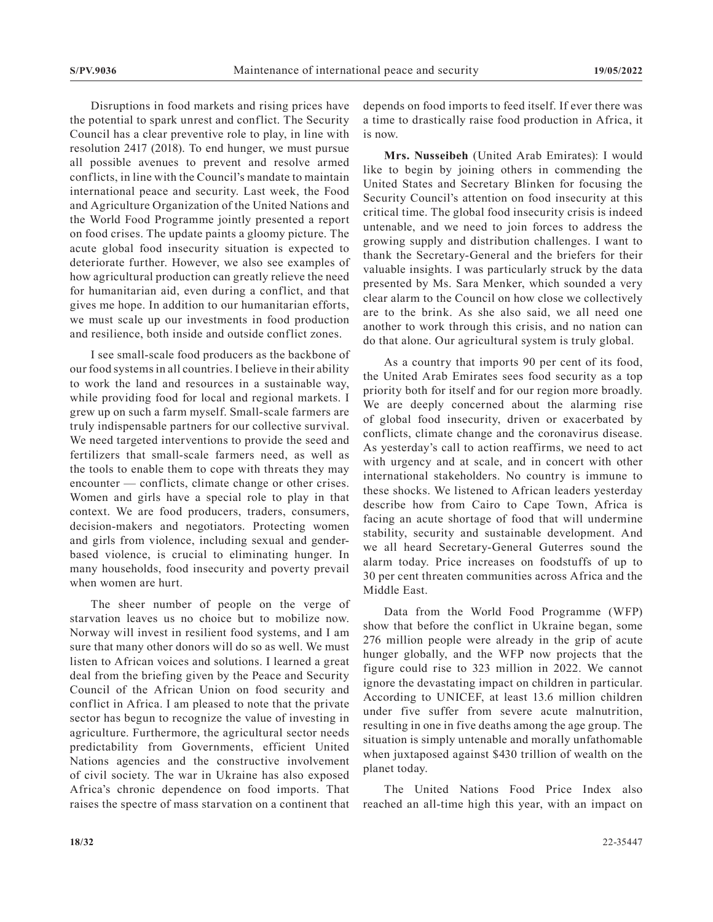Disruptions in food markets and rising prices have the potential to spark unrest and conflict. The Security Council has a clear preventive role to play, in line with resolution 2417 (2018). To end hunger, we must pursue all possible avenues to prevent and resolve armed conflicts, in line with the Council's mandate to maintain international peace and security. Last week, the Food and Agriculture Organization of the United Nations and the World Food Programme jointly presented a report on food crises. The update paints a gloomy picture. The acute global food insecurity situation is expected to deteriorate further. However, we also see examples of how agricultural production can greatly relieve the need for humanitarian aid, even during a conflict, and that gives me hope. In addition to our humanitarian efforts, we must scale up our investments in food production and resilience, both inside and outside conflict zones.

I see small-scale food producers as the backbone of our food systems in all countries. I believe in their ability to work the land and resources in a sustainable way, while providing food for local and regional markets. I grew up on such a farm myself. Small-scale farmers are truly indispensable partners for our collective survival. We need targeted interventions to provide the seed and fertilizers that small-scale farmers need, as well as the tools to enable them to cope with threats they may encounter — conflicts, climate change or other crises. Women and girls have a special role to play in that context. We are food producers, traders, consumers, decision-makers and negotiators. Protecting women and girls from violence, including sexual and genderbased violence, is crucial to eliminating hunger. In many households, food insecurity and poverty prevail when women are hurt.

The sheer number of people on the verge of starvation leaves us no choice but to mobilize now. Norway will invest in resilient food systems, and I am sure that many other donors will do so as well. We must listen to African voices and solutions. I learned a great deal from the briefing given by the Peace and Security Council of the African Union on food security and conflict in Africa. I am pleased to note that the private sector has begun to recognize the value of investing in agriculture. Furthermore, the agricultural sector needs predictability from Governments, efficient United Nations agencies and the constructive involvement of civil society. The war in Ukraine has also exposed Africa's chronic dependence on food imports. That raises the spectre of mass starvation on a continent that

depends on food imports to feed itself. If ever there was a time to drastically raise food production in Africa, it is now.

**Mrs. Nusseibeh** (United Arab Emirates): I would like to begin by joining others in commending the United States and Secretary Blinken for focusing the Security Council's attention on food insecurity at this critical time. The global food insecurity crisis is indeed untenable, and we need to join forces to address the growing supply and distribution challenges. I want to thank the Secretary-General and the briefers for their valuable insights. I was particularly struck by the data presented by Ms. Sara Menker, which sounded a very clear alarm to the Council on how close we collectively are to the brink. As she also said, we all need one another to work through this crisis, and no nation can do that alone. Our agricultural system is truly global.

As a country that imports 90 per cent of its food, the United Arab Emirates sees food security as a top priority both for itself and for our region more broadly. We are deeply concerned about the alarming rise of global food insecurity, driven or exacerbated by conflicts, climate change and the coronavirus disease. As yesterday's call to action reaffirms, we need to act with urgency and at scale, and in concert with other international stakeholders. No country is immune to these shocks. We listened to African leaders yesterday describe how from Cairo to Cape Town, Africa is facing an acute shortage of food that will undermine stability, security and sustainable development. And we all heard Secretary-General Guterres sound the alarm today. Price increases on foodstuffs of up to 30 per cent threaten communities across Africa and the Middle East.

Data from the World Food Programme (WFP) show that before the conflict in Ukraine began, some 276 million people were already in the grip of acute hunger globally, and the WFP now projects that the figure could rise to 323 million in 2022. We cannot ignore the devastating impact on children in particular. According to UNICEF, at least 13.6 million children under five suffer from severe acute malnutrition, resulting in one in five deaths among the age group. The situation is simply untenable and morally unfathomable when juxtaposed against \$430 trillion of wealth on the planet today.

The United Nations Food Price Index also reached an all-time high this year, with an impact on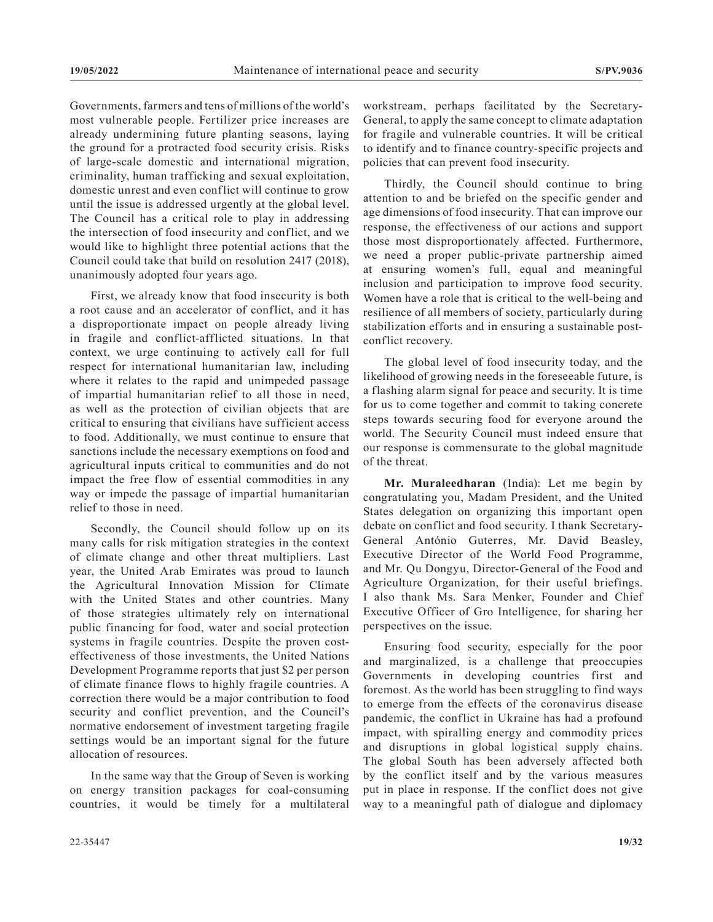Governments, farmers and tens of millions of the world's most vulnerable people. Fertilizer price increases are already undermining future planting seasons, laying the ground for a protracted food security crisis. Risks of large-scale domestic and international migration, criminality, human trafficking and sexual exploitation, domestic unrest and even conflict will continue to grow until the issue is addressed urgently at the global level. The Council has a critical role to play in addressing the intersection of food insecurity and conflict, and we would like to highlight three potential actions that the Council could take that build on resolution 2417 (2018), unanimously adopted four years ago.

First, we already know that food insecurity is both a root cause and an accelerator of conflict, and it has a disproportionate impact on people already living in fragile and conflict-afflicted situations. In that context, we urge continuing to actively call for full respect for international humanitarian law, including where it relates to the rapid and unimpeded passage of impartial humanitarian relief to all those in need, as well as the protection of civilian objects that are critical to ensuring that civilians have sufficient access to food. Additionally, we must continue to ensure that sanctions include the necessary exemptions on food and agricultural inputs critical to communities and do not impact the free flow of essential commodities in any way or impede the passage of impartial humanitarian relief to those in need.

Secondly, the Council should follow up on its many calls for risk mitigation strategies in the context of climate change and other threat multipliers. Last year, the United Arab Emirates was proud to launch the Agricultural Innovation Mission for Climate with the United States and other countries. Many of those strategies ultimately rely on international public financing for food, water and social protection systems in fragile countries. Despite the proven costeffectiveness of those investments, the United Nations Development Programme reports that just \$2 per person of climate finance flows to highly fragile countries. A correction there would be a major contribution to food security and conflict prevention, and the Council's normative endorsement of investment targeting fragile settings would be an important signal for the future allocation of resources.

In the same way that the Group of Seven is working on energy transition packages for coal-consuming countries, it would be timely for a multilateral

Thirdly, the Council should continue to bring attention to and be briefed on the specific gender and age dimensions of food insecurity. That can improve our response, the effectiveness of our actions and support those most disproportionately affected. Furthermore, we need a proper public-private partnership aimed at ensuring women's full, equal and meaningful inclusion and participation to improve food security. Women have a role that is critical to the well-being and resilience of all members of society, particularly during stabilization efforts and in ensuring a sustainable postconflict recovery.

The global level of food insecurity today, and the likelihood of growing needs in the foreseeable future, is a flashing alarm signal for peace and security. It is time for us to come together and commit to taking concrete steps towards securing food for everyone around the world. The Security Council must indeed ensure that our response is commensurate to the global magnitude of the threat.

**Mr. Muraleedharan** (India): Let me begin by congratulating you, Madam President, and the United States delegation on organizing this important open debate on conflict and food security. I thank Secretary-General António Guterres, Mr. David Beasley, Executive Director of the World Food Programme, and Mr. Qu Dongyu, Director-General of the Food and Agriculture Organization, for their useful briefings. I also thank Ms. Sara Menker, Founder and Chief Executive Officer of Gro Intelligence, for sharing her perspectives on the issue.

Ensuring food security, especially for the poor and marginalized, is a challenge that preoccupies Governments in developing countries first and foremost. As the world has been struggling to find ways to emerge from the effects of the coronavirus disease pandemic, the conflict in Ukraine has had a profound impact, with spiralling energy and commodity prices and disruptions in global logistical supply chains. The global South has been adversely affected both by the conflict itself and by the various measures put in place in response. If the conflict does not give way to a meaningful path of dialogue and diplomacy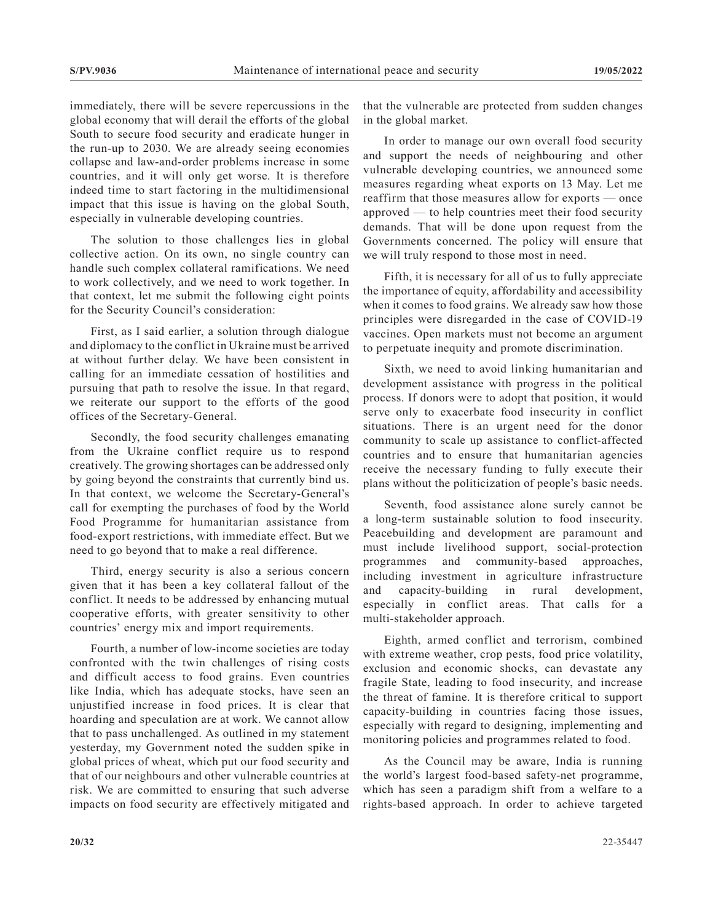immediately, there will be severe repercussions in the global economy that will derail the efforts of the global South to secure food security and eradicate hunger in the run-up to 2030. We are already seeing economies collapse and law-and-order problems increase in some countries, and it will only get worse. It is therefore indeed time to start factoring in the multidimensional impact that this issue is having on the global South, especially in vulnerable developing countries.

The solution to those challenges lies in global collective action. On its own, no single country can handle such complex collateral ramifications. We need to work collectively, and we need to work together. In that context, let me submit the following eight points for the Security Council's consideration:

First, as I said earlier, a solution through dialogue and diplomacy to the conflict in Ukraine must be arrived at without further delay. We have been consistent in calling for an immediate cessation of hostilities and pursuing that path to resolve the issue. In that regard, we reiterate our support to the efforts of the good offices of the Secretary-General.

Secondly, the food security challenges emanating from the Ukraine conflict require us to respond creatively. The growing shortages can be addressed only by going beyond the constraints that currently bind us. In that context, we welcome the Secretary-General's call for exempting the purchases of food by the World Food Programme for humanitarian assistance from food-export restrictions, with immediate effect. But we need to go beyond that to make a real difference.

Third, energy security is also a serious concern given that it has been a key collateral fallout of the conflict. It needs to be addressed by enhancing mutual cooperative efforts, with greater sensitivity to other countries' energy mix and import requirements.

Fourth, a number of low-income societies are today confronted with the twin challenges of rising costs and difficult access to food grains. Even countries like India, which has adequate stocks, have seen an unjustified increase in food prices. It is clear that hoarding and speculation are at work. We cannot allow that to pass unchallenged. As outlined in my statement yesterday, my Government noted the sudden spike in global prices of wheat, which put our food security and that of our neighbours and other vulnerable countries at risk. We are committed to ensuring that such adverse impacts on food security are effectively mitigated and

that the vulnerable are protected from sudden changes in the global market.

In order to manage our own overall food security and support the needs of neighbouring and other vulnerable developing countries, we announced some measures regarding wheat exports on 13 May. Let me reaffirm that those measures allow for exports — once approved — to help countries meet their food security demands. That will be done upon request from the Governments concerned. The policy will ensure that we will truly respond to those most in need.

Fifth, it is necessary for all of us to fully appreciate the importance of equity, affordability and accessibility when it comes to food grains. We already saw how those principles were disregarded in the case of COVID-19 vaccines. Open markets must not become an argument to perpetuate inequity and promote discrimination.

Sixth, we need to avoid linking humanitarian and development assistance with progress in the political process. If donors were to adopt that position, it would serve only to exacerbate food insecurity in conflict situations. There is an urgent need for the donor community to scale up assistance to conflict-affected countries and to ensure that humanitarian agencies receive the necessary funding to fully execute their plans without the politicization of people's basic needs.

Seventh, food assistance alone surely cannot be a long-term sustainable solution to food insecurity. Peacebuilding and development are paramount and must include livelihood support, social-protection programmes and community-based approaches, including investment in agriculture infrastructure and capacity-building in rural development, especially in conflict areas. That calls for a multi-stakeholder approach.

Eighth, armed conflict and terrorism, combined with extreme weather, crop pests, food price volatility, exclusion and economic shocks, can devastate any fragile State, leading to food insecurity, and increase the threat of famine. It is therefore critical to support capacity-building in countries facing those issues, especially with regard to designing, implementing and monitoring policies and programmes related to food.

As the Council may be aware, India is running the world's largest food-based safety-net programme, which has seen a paradigm shift from a welfare to a rights-based approach. In order to achieve targeted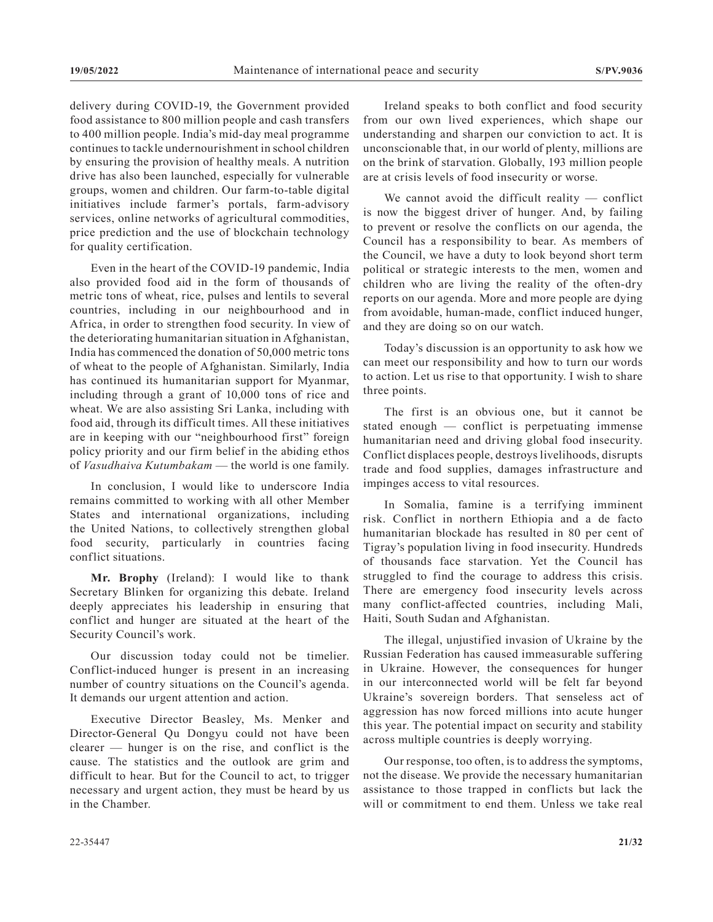delivery during COVID-19, the Government provided food assistance to 800 million people and cash transfers to 400 million people. India's mid-day meal programme continues to tackle undernourishment in school children by ensuring the provision of healthy meals. A nutrition drive has also been launched, especially for vulnerable groups, women and children. Our farm-to-table digital initiatives include farmer's portals, farm-advisory services, online networks of agricultural commodities, price prediction and the use of blockchain technology for quality certification.

Even in the heart of the COVID-19 pandemic, India also provided food aid in the form of thousands of metric tons of wheat, rice, pulses and lentils to several countries, including in our neighbourhood and in Africa, in order to strengthen food security. In view of the deteriorating humanitarian situation in Afghanistan, India has commenced the donation of 50,000 metric tons of wheat to the people of Afghanistan. Similarly, India has continued its humanitarian support for Myanmar, including through a grant of 10,000 tons of rice and wheat. We are also assisting Sri Lanka, including with food aid, through its difficult times. All these initiatives are in keeping with our "neighbourhood first" foreign policy priority and our firm belief in the abiding ethos of *Vasudhaiva Kutumbakam* — the world is one family.

In conclusion, I would like to underscore India remains committed to working with all other Member States and international organizations, including the United Nations, to collectively strengthen global food security, particularly in countries facing conflict situations.

**Mr. Brophy** (Ireland): I would like to thank Secretary Blinken for organizing this debate. Ireland deeply appreciates his leadership in ensuring that conflict and hunger are situated at the heart of the Security Council's work.

Our discussion today could not be timelier. Conflict-induced hunger is present in an increasing number of country situations on the Council's agenda. It demands our urgent attention and action.

Executive Director Beasley, Ms. Menker and Director-General Qu Dongyu could not have been clearer — hunger is on the rise, and conflict is the cause. The statistics and the outlook are grim and difficult to hear. But for the Council to act, to trigger necessary and urgent action, they must be heard by us in the Chamber.

Ireland speaks to both conflict and food security from our own lived experiences, which shape our understanding and sharpen our conviction to act. It is unconscionable that, in our world of plenty, millions are on the brink of starvation. Globally, 193 million people are at crisis levels of food insecurity or worse.

We cannot avoid the difficult reality — conflict is now the biggest driver of hunger. And, by failing to prevent or resolve the conflicts on our agenda, the Council has a responsibility to bear. As members of the Council, we have a duty to look beyond short term political or strategic interests to the men, women and children who are living the reality of the often-dry reports on our agenda. More and more people are dying from avoidable, human-made, conflict induced hunger, and they are doing so on our watch.

Today's discussion is an opportunity to ask how we can meet our responsibility and how to turn our words to action. Let us rise to that opportunity. I wish to share three points.

The first is an obvious one, but it cannot be stated enough — conflict is perpetuating immense humanitarian need and driving global food insecurity. Conflict displaces people, destroys livelihoods, disrupts trade and food supplies, damages infrastructure and impinges access to vital resources.

In Somalia, famine is a terrifying imminent risk. Conflict in northern Ethiopia and a de facto humanitarian blockade has resulted in 80 per cent of Tigray's population living in food insecurity. Hundreds of thousands face starvation. Yet the Council has struggled to find the courage to address this crisis. There are emergency food insecurity levels across many conflict-affected countries, including Mali, Haiti, South Sudan and Afghanistan.

The illegal, unjustified invasion of Ukraine by the Russian Federation has caused immeasurable suffering in Ukraine. However, the consequences for hunger in our interconnected world will be felt far beyond Ukraine's sovereign borders. That senseless act of aggression has now forced millions into acute hunger this year. The potential impact on security and stability across multiple countries is deeply worrying.

Our response, too often, is to address the symptoms, not the disease. We provide the necessary humanitarian assistance to those trapped in conflicts but lack the will or commitment to end them. Unless we take real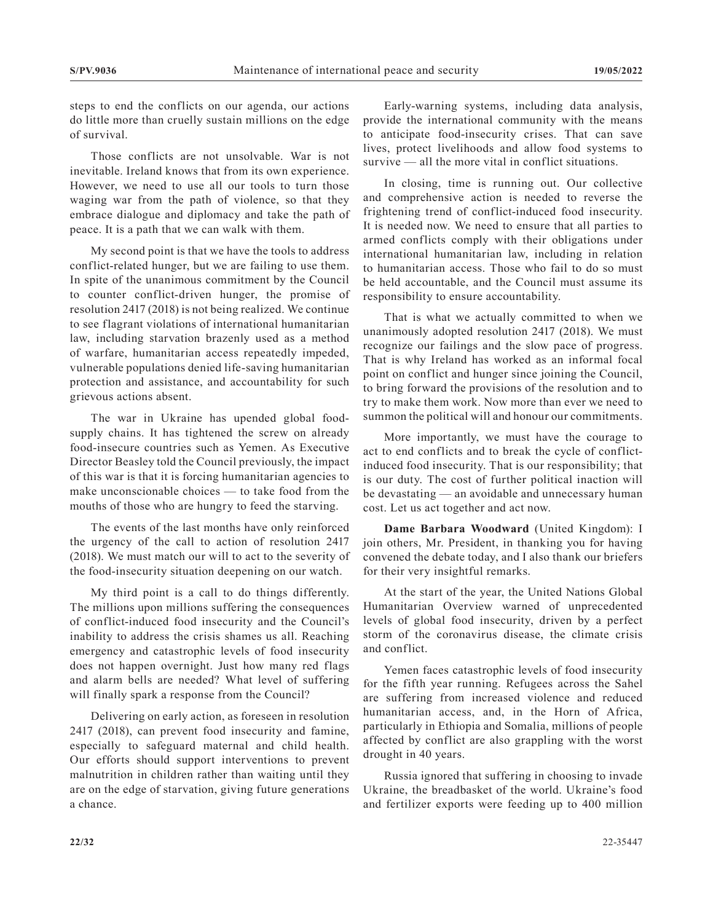steps to end the conflicts on our agenda, our actions do little more than cruelly sustain millions on the edge of survival.

Those conflicts are not unsolvable. War is not inevitable. Ireland knows that from its own experience. However, we need to use all our tools to turn those waging war from the path of violence, so that they embrace dialogue and diplomacy and take the path of peace. It is a path that we can walk with them.

My second point is that we have the tools to address conflict-related hunger, but we are failing to use them. In spite of the unanimous commitment by the Council to counter conflict-driven hunger, the promise of resolution 2417 (2018) is not being realized. We continue to see flagrant violations of international humanitarian law, including starvation brazenly used as a method of warfare, humanitarian access repeatedly impeded, vulnerable populations denied life-saving humanitarian protection and assistance, and accountability for such grievous actions absent.

The war in Ukraine has upended global foodsupply chains. It has tightened the screw on already food-insecure countries such as Yemen. As Executive Director Beasley told the Council previously, the impact of this war is that it is forcing humanitarian agencies to make unconscionable choices — to take food from the mouths of those who are hungry to feed the starving.

The events of the last months have only reinforced the urgency of the call to action of resolution 2417 (2018). We must match our will to act to the severity of the food-insecurity situation deepening on our watch.

My third point is a call to do things differently. The millions upon millions suffering the consequences of conflict-induced food insecurity and the Council's inability to address the crisis shames us all. Reaching emergency and catastrophic levels of food insecurity does not happen overnight. Just how many red flags and alarm bells are needed? What level of suffering will finally spark a response from the Council?

Delivering on early action, as foreseen in resolution 2417 (2018), can prevent food insecurity and famine, especially to safeguard maternal and child health. Our efforts should support interventions to prevent malnutrition in children rather than waiting until they are on the edge of starvation, giving future generations a chance.

Early-warning systems, including data analysis, provide the international community with the means to anticipate food-insecurity crises. That can save lives, protect livelihoods and allow food systems to survive — all the more vital in conflict situations.

In closing, time is running out. Our collective and comprehensive action is needed to reverse the frightening trend of conflict-induced food insecurity. It is needed now. We need to ensure that all parties to armed conflicts comply with their obligations under international humanitarian law, including in relation to humanitarian access. Those who fail to do so must be held accountable, and the Council must assume its responsibility to ensure accountability.

That is what we actually committed to when we unanimously adopted resolution 2417 (2018). We must recognize our failings and the slow pace of progress. That is why Ireland has worked as an informal focal point on conflict and hunger since joining the Council, to bring forward the provisions of the resolution and to try to make them work. Now more than ever we need to summon the political will and honour our commitments.

More importantly, we must have the courage to act to end conflicts and to break the cycle of conflictinduced food insecurity. That is our responsibility; that is our duty. The cost of further political inaction will be devastating — an avoidable and unnecessary human cost. Let us act together and act now.

**Dame Barbara Woodward** (United Kingdom): I join others, Mr. President, in thanking you for having convened the debate today, and I also thank our briefers for their very insightful remarks.

At the start of the year, the United Nations Global Humanitarian Overview warned of unprecedented levels of global food insecurity, driven by a perfect storm of the coronavirus disease, the climate crisis and conflict.

Yemen faces catastrophic levels of food insecurity for the fifth year running. Refugees across the Sahel are suffering from increased violence and reduced humanitarian access, and, in the Horn of Africa, particularly in Ethiopia and Somalia, millions of people affected by conflict are also grappling with the worst drought in 40 years.

Russia ignored that suffering in choosing to invade Ukraine, the breadbasket of the world. Ukraine's food and fertilizer exports were feeding up to 400 million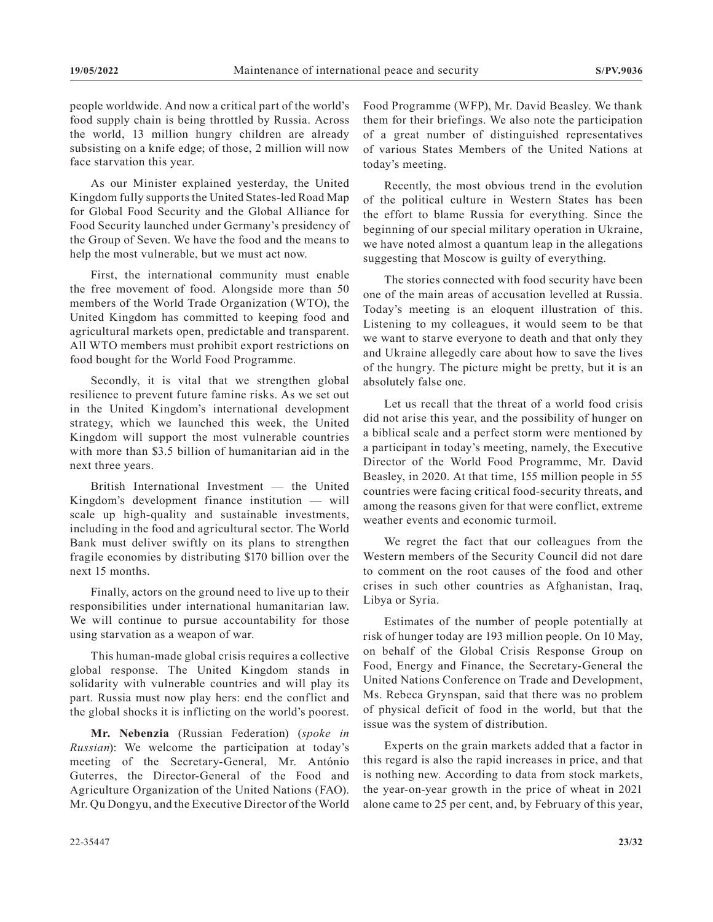people worldwide. And now a critical part of the world's food supply chain is being throttled by Russia. Across the world, 13 million hungry children are already subsisting on a knife edge; of those, 2 million will now face starvation this year.

As our Minister explained yesterday, the United Kingdom fully supports the United States-led Road Map for Global Food Security and the Global Alliance for Food Security launched under Germany's presidency of the Group of Seven. We have the food and the means to help the most vulnerable, but we must act now.

First, the international community must enable the free movement of food. Alongside more than 50 members of the World Trade Organization (WTO), the United Kingdom has committed to keeping food and agricultural markets open, predictable and transparent. All WTO members must prohibit export restrictions on food bought for the World Food Programme.

Secondly, it is vital that we strengthen global resilience to prevent future famine risks. As we set out in the United Kingdom's international development strategy, which we launched this week, the United Kingdom will support the most vulnerable countries with more than \$3.5 billion of humanitarian aid in the next three years.

British International Investment — the United Kingdom's development finance institution — will scale up high-quality and sustainable investments, including in the food and agricultural sector. The World Bank must deliver swiftly on its plans to strengthen fragile economies by distributing \$170 billion over the next 15 months.

Finally, actors on the ground need to live up to their responsibilities under international humanitarian law. We will continue to pursue accountability for those using starvation as a weapon of war.

This human-made global crisis requires a collective global response. The United Kingdom stands in solidarity with vulnerable countries and will play its part. Russia must now play hers: end the conflict and the global shocks it is inflicting on the world's poorest.

**Mr. Nebenzia** (Russian Federation) (*spoke in Russian*): We welcome the participation at today's meeting of the Secretary-General, Mr. António Guterres, the Director-General of the Food and Agriculture Organization of the United Nations (FAO). Mr. Qu Dongyu, and the Executive Director of the World Food Programme (WFP), Mr. David Beasley. We thank them for their briefings. We also note the participation of a great number of distinguished representatives of various States Members of the United Nations at today's meeting.

Recently, the most obvious trend in the evolution of the political culture in Western States has been the effort to blame Russia for everything. Since the beginning of our special military operation in Ukraine, we have noted almost a quantum leap in the allegations suggesting that Moscow is guilty of everything.

The stories connected with food security have been one of the main areas of accusation levelled at Russia. Today's meeting is an eloquent illustration of this. Listening to my colleagues, it would seem to be that we want to starve everyone to death and that only they and Ukraine allegedly care about how to save the lives of the hungry. The picture might be pretty, but it is an absolutely false one.

Let us recall that the threat of a world food crisis did not arise this year, and the possibility of hunger on a biblical scale and a perfect storm were mentioned by a participant in today's meeting, namely, the Executive Director of the World Food Programme, Mr. David Beasley, in 2020. At that time, 155 million people in 55 countries were facing critical food-security threats, and among the reasons given for that were conflict, extreme weather events and economic turmoil.

We regret the fact that our colleagues from the Western members of the Security Council did not dare to comment on the root causes of the food and other crises in such other countries as Afghanistan, Iraq, Libya or Syria.

Estimates of the number of people potentially at risk of hunger today are 193 million people. On 10 May, on behalf of the Global Crisis Response Group on Food, Energy and Finance, the Secretary-General the United Nations Conference on Trade and Development, Ms. Rebeca Grynspan, said that there was no problem of physical deficit of food in the world, but that the issue was the system of distribution.

Experts on the grain markets added that a factor in this regard is also the rapid increases in price, and that is nothing new. According to data from stock markets, the year-on-year growth in the price of wheat in 2021 alone came to 25 per cent, and, by February of this year,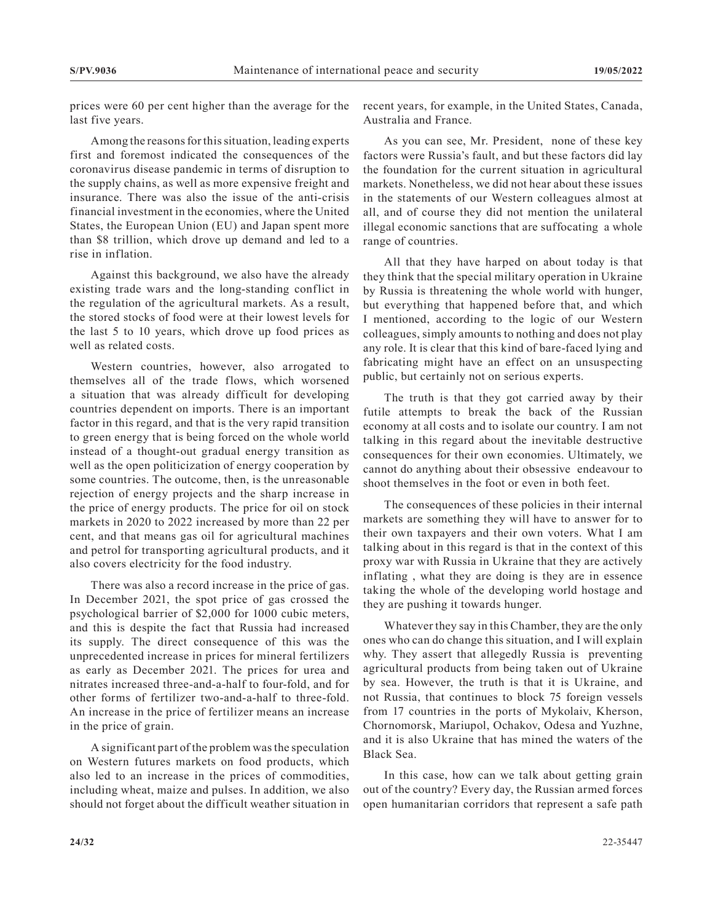prices were 60 per cent higher than the average for the last five years.

Among the reasons for this situation, leading experts first and foremost indicated the consequences of the coronavirus disease pandemic in terms of disruption to the supply chains, as well as more expensive freight and insurance. There was also the issue of the anti-crisis financial investment in the economies, where the United States, the European Union (EU) and Japan spent more than \$8 trillion, which drove up demand and led to a rise in inflation.

Against this background, we also have the already existing trade wars and the long-standing conflict in the regulation of the agricultural markets. As a result, the stored stocks of food were at their lowest levels for the last 5 to 10 years, which drove up food prices as well as related costs.

Western countries, however, also arrogated to themselves all of the trade flows, which worsened a situation that was already difficult for developing countries dependent on imports. There is an important factor in this regard, and that is the very rapid transition to green energy that is being forced on the whole world instead of a thought-out gradual energy transition as well as the open politicization of energy cooperation by some countries. The outcome, then, is the unreasonable rejection of energy projects and the sharp increase in the price of energy products. The price for oil on stock markets in 2020 to 2022 increased by more than 22 per cent, and that means gas oil for agricultural machines and petrol for transporting agricultural products, and it also covers electricity for the food industry.

There was also a record increase in the price of gas. In December 2021, the spot price of gas crossed the psychological barrier of \$2,000 for 1000 cubic meters, and this is despite the fact that Russia had increased its supply. The direct consequence of this was the unprecedented increase in prices for mineral fertilizers as early as December 2021. The prices for urea and nitrates increased three-and-a-half to four-fold, and for other forms of fertilizer two-and-a-half to three-fold. An increase in the price of fertilizer means an increase in the price of grain.

A significant part of the problem was the speculation on Western futures markets on food products, which also led to an increase in the prices of commodities, including wheat, maize and pulses. In addition, we also should not forget about the difficult weather situation in recent years, for example, in the United States, Canada, Australia and France.

As you can see, Mr. President, none of these key factors were Russia's fault, and but these factors did lay the foundation for the current situation in agricultural markets. Nonetheless, we did not hear about these issues in the statements of our Western colleagues almost at all, and of course they did not mention the unilateral illegal economic sanctions that are suffocating a whole range of countries.

All that they have harped on about today is that they think that the special military operation in Ukraine by Russia is threatening the whole world with hunger, but everything that happened before that, and which I mentioned, according to the logic of our Western colleagues, simply amounts to nothing and does not play any role. It is clear that this kind of bare-faced lying and fabricating might have an effect on an unsuspecting public, but certainly not on serious experts.

The truth is that they got carried away by their futile attempts to break the back of the Russian economy at all costs and to isolate our country. I am not talking in this regard about the inevitable destructive consequences for their own economies. Ultimately, we cannot do anything about their obsessive endeavour to shoot themselves in the foot or even in both feet.

The consequences of these policies in their internal markets are something they will have to answer for to their own taxpayers and their own voters. What I am talking about in this regard is that in the context of this proxy war with Russia in Ukraine that they are actively inflating , what they are doing is they are in essence taking the whole of the developing world hostage and they are pushing it towards hunger.

Whatever they say in this Chamber, they are the only ones who can do change this situation, and I will explain why. They assert that allegedly Russia is preventing agricultural products from being taken out of Ukraine by sea. However, the truth is that it is Ukraine, and not Russia, that continues to block 75 foreign vessels from 17 countries in the ports of Mykolaiv, Kherson, Chornomorsk, Mariupol, Ochakov, Odesa and Yuzhne, and it is also Ukraine that has mined the waters of the Black Sea.

In this case, how can we talk about getting grain out of the country? Every day, the Russian armed forces open humanitarian corridors that represent a safe path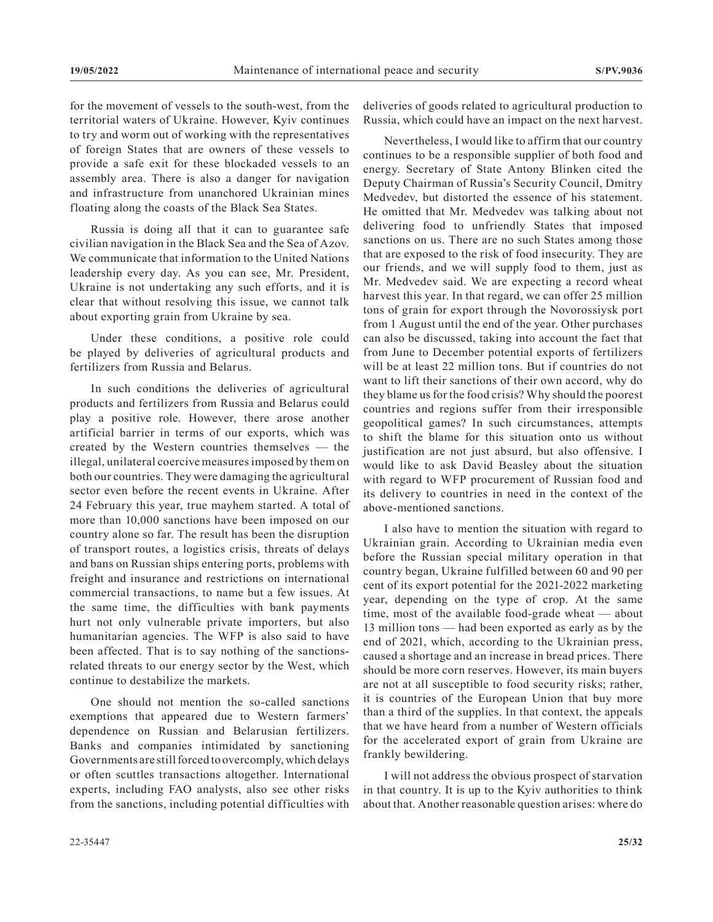for the movement of vessels to the south-west, from the territorial waters of Ukraine. However, Kyiv continues to try and worm out of working with the representatives of foreign States that are owners of these vessels to provide a safe exit for these blockaded vessels to an assembly area. There is also a danger for navigation and infrastructure from unanchored Ukrainian mines floating along the coasts of the Black Sea States.

Russia is doing all that it can to guarantee safe civilian navigation in the Black Sea and the Sea of Azov. We communicate that information to the United Nations leadership every day. As you can see, Mr. President, Ukraine is not undertaking any such efforts, and it is clear that without resolving this issue, we cannot talk about exporting grain from Ukraine by sea.

Under these conditions, a positive role could be played by deliveries of agricultural products and fertilizers from Russia and Belarus.

In such conditions the deliveries of agricultural products and fertilizers from Russia and Belarus could play a positive role. However, there arose another artificial barrier in terms of our exports, which was created by the Western countries themselves — the illegal, unilateral coercive measures imposed by them on both our countries. They were damaging the agricultural sector even before the recent events in Ukraine. After 24 February this year, true mayhem started. A total of more than 10,000 sanctions have been imposed on our country alone so far. The result has been the disruption of transport routes, a logistics crisis, threats of delays and bans on Russian ships entering ports, problems with freight and insurance and restrictions on international commercial transactions, to name but a few issues. At the same time, the difficulties with bank payments hurt not only vulnerable private importers, but also humanitarian agencies. The WFP is also said to have been affected. That is to say nothing of the sanctionsrelated threats to our energy sector by the West, which continue to destabilize the markets.

One should not mention the so-called sanctions exemptions that appeared due to Western farmers' dependence on Russian and Belarusian fertilizers. Banks and companies intimidated by sanctioning Governments are still forced to overcomply, which delays or often scuttles transactions altogether. International experts, including FAO analysts, also see other risks from the sanctions, including potential difficulties with deliveries of goods related to agricultural production to Russia, which could have an impact on the next harvest.

Nevertheless, I would like to affirm that our country continues to be a responsible supplier of both food and energy. Secretary of State Antony Blinken cited the Deputy Chairman of Russia's Security Council, Dmitry Medvedev, but distorted the essence of his statement. He omitted that Mr. Medvedev was talking about not delivering food to unfriendly States that imposed sanctions on us. There are no such States among those that are exposed to the risk of food insecurity. They are our friends, and we will supply food to them, just as Mr. Medvedev said. We are expecting a record wheat harvest this year. In that regard, we can offer 25 million tons of grain for export through the Novorossiysk port from 1 August until the end of the year. Other purchases can also be discussed, taking into account the fact that from June to December potential exports of fertilizers will be at least 22 million tons. But if countries do not want to lift their sanctions of their own accord, why do they blame us for the food crisis? Why should the poorest countries and regions suffer from their irresponsible geopolitical games? In such circumstances, attempts to shift the blame for this situation onto us without justification are not just absurd, but also offensive. I would like to ask David Beasley about the situation with regard to WFP procurement of Russian food and its delivery to countries in need in the context of the above-mentioned sanctions.

I also have to mention the situation with regard to Ukrainian grain. According to Ukrainian media even before the Russian special military operation in that country began, Ukraine fulfilled between 60 and 90 per cent of its export potential for the 2021-2022 marketing year, depending on the type of crop. At the same time, most of the available food-grade wheat — about 13 million tons — had been exported as early as by the end of 2021, which, according to the Ukrainian press, caused a shortage and an increase in bread prices. There should be more corn reserves. However, its main buyers are not at all susceptible to food security risks; rather, it is countries of the European Union that buy more than a third of the supplies. In that context, the appeals that we have heard from a number of Western officials for the accelerated export of grain from Ukraine are frankly bewildering.

I will not address the obvious prospect of starvation in that country. It is up to the Kyiv authorities to think about that. Another reasonable question arises: where do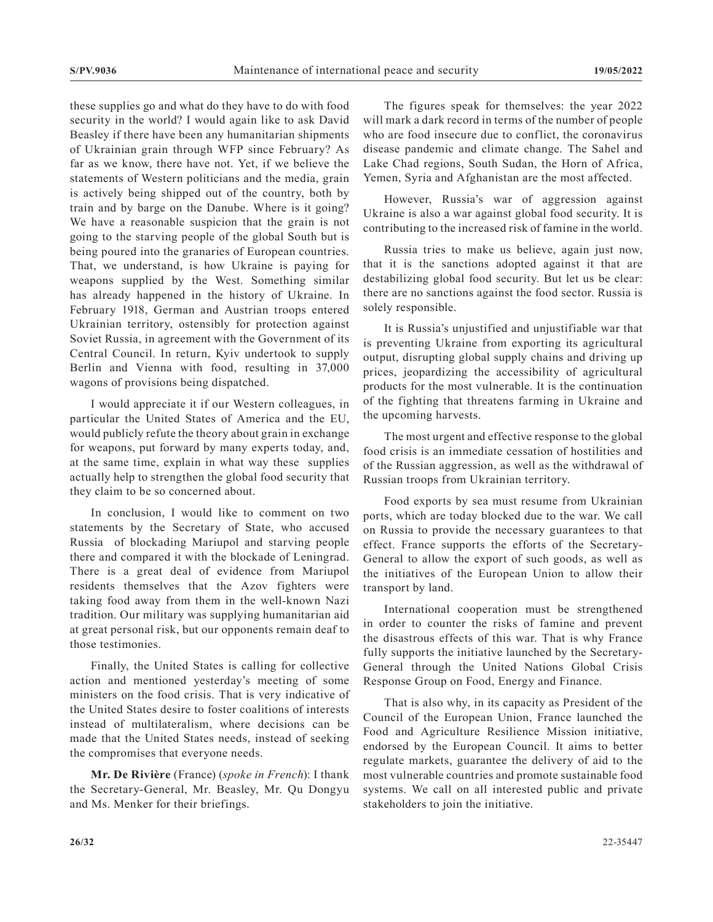these supplies go and what do they have to do with food security in the world? I would again like to ask David Beasley if there have been any humanitarian shipments of Ukrainian grain through WFP since February? As far as we know, there have not. Yet, if we believe the statements of Western politicians and the media, grain is actively being shipped out of the country, both by train and by barge on the Danube. Where is it going? We have a reasonable suspicion that the grain is not going to the starving people of the global South but is being poured into the granaries of European countries. That, we understand, is how Ukraine is paying for weapons supplied by the West. Something similar has already happened in the history of Ukraine. In February 1918, German and Austrian troops entered Ukrainian territory, ostensibly for protection against Soviet Russia, in agreement with the Government of its Central Council. In return, Kyiv undertook to supply Berlin and Vienna with food, resulting in 37,000 wagons of provisions being dispatched.

I would appreciate it if our Western colleagues, in particular the United States of America and the EU, would publicly refute the theory about grain in exchange for weapons, put forward by many experts today, and, at the same time, explain in what way these supplies actually help to strengthen the global food security that they claim to be so concerned about.

In conclusion, I would like to comment on two statements by the Secretary of State, who accused Russia of blockading Mariupol and starving people there and compared it with the blockade of Leningrad. There is a great deal of evidence from Mariupol residents themselves that the Azov fighters were taking food away from them in the well-known Nazi tradition. Our military was supplying humanitarian aid at great personal risk, but our opponents remain deaf to those testimonies.

Finally, the United States is calling for collective action and mentioned yesterday's meeting of some ministers on the food crisis. That is very indicative of the United States desire to foster coalitions of interests instead of multilateralism, where decisions can be made that the United States needs, instead of seeking the compromises that everyone needs.

**Mr. De Rivière** (France) (*spoke in French*): I thank the Secretary-General, Mr. Beasley, Mr. Qu Dongyu and Ms. Menker for their briefings.

The figures speak for themselves: the year 2022 will mark a dark record in terms of the number of people who are food insecure due to conflict, the coronavirus disease pandemic and climate change. The Sahel and Lake Chad regions, South Sudan, the Horn of Africa, Yemen, Syria and Afghanistan are the most affected.

However, Russia's war of aggression against Ukraine is also a war against global food security. It is contributing to the increased risk of famine in the world.

Russia tries to make us believe, again just now, that it is the sanctions adopted against it that are destabilizing global food security. But let us be clear: there are no sanctions against the food sector. Russia is solely responsible.

It is Russia's unjustified and unjustifiable war that is preventing Ukraine from exporting its agricultural output, disrupting global supply chains and driving up prices, jeopardizing the accessibility of agricultural products for the most vulnerable. It is the continuation of the fighting that threatens farming in Ukraine and the upcoming harvests.

The most urgent and effective response to the global food crisis is an immediate cessation of hostilities and of the Russian aggression, as well as the withdrawal of Russian troops from Ukrainian territory.

Food exports by sea must resume from Ukrainian ports, which are today blocked due to the war. We call on Russia to provide the necessary guarantees to that effect. France supports the efforts of the Secretary-General to allow the export of such goods, as well as the initiatives of the European Union to allow their transport by land.

International cooperation must be strengthened in order to counter the risks of famine and prevent the disastrous effects of this war. That is why France fully supports the initiative launched by the Secretary-General through the United Nations Global Crisis Response Group on Food, Energy and Finance.

That is also why, in its capacity as President of the Council of the European Union, France launched the Food and Agriculture Resilience Mission initiative, endorsed by the European Council. It aims to better regulate markets, guarantee the delivery of aid to the most vulnerable countries and promote sustainable food systems. We call on all interested public and private stakeholders to join the initiative.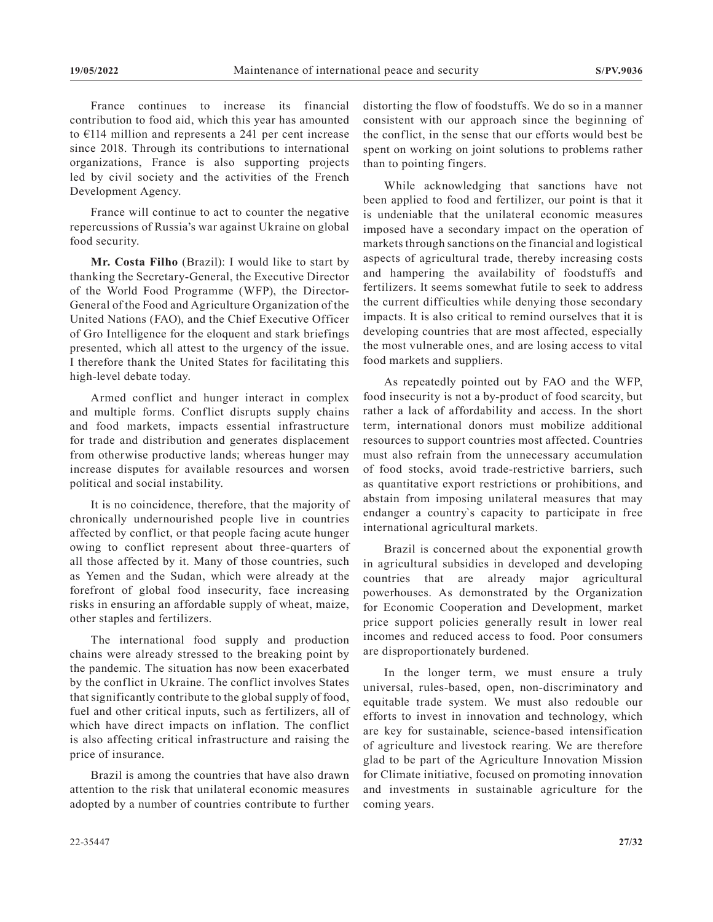France continues to increase its financial contribution to food aid, which this year has amounted to €114 million and represents a 241 per cent increase since 2018. Through its contributions to international organizations, France is also supporting projects led by civil society and the activities of the French Development Agency.

France will continue to act to counter the negative repercussions of Russia's war against Ukraine on global food security.

**Mr. Costa Filho** (Brazil): I would like to start by thanking the Secretary-General, the Executive Director of the World Food Programme (WFP), the Director-General of the Food and Agriculture Organization of the United Nations (FAO), and the Chief Executive Officer of Gro Intelligence for the eloquent and stark briefings presented, which all attest to the urgency of the issue. I therefore thank the United States for facilitating this high-level debate today.

Armed conflict and hunger interact in complex and multiple forms. Conflict disrupts supply chains and food markets, impacts essential infrastructure for trade and distribution and generates displacement from otherwise productive lands; whereas hunger may increase disputes for available resources and worsen political and social instability.

It is no coincidence, therefore, that the majority of chronically undernourished people live in countries affected by conflict, or that people facing acute hunger owing to conflict represent about three-quarters of all those affected by it. Many of those countries, such as Yemen and the Sudan, which were already at the forefront of global food insecurity, face increasing risks in ensuring an affordable supply of wheat, maize, other staples and fertilizers.

The international food supply and production chains were already stressed to the breaking point by the pandemic. The situation has now been exacerbated by the conflict in Ukraine. The conflict involves States that significantly contribute to the global supply of food, fuel and other critical inputs, such as fertilizers, all of which have direct impacts on inflation. The conflict is also affecting critical infrastructure and raising the price of insurance.

Brazil is among the countries that have also drawn attention to the risk that unilateral economic measures adopted by a number of countries contribute to further distorting the flow of foodstuffs. We do so in a manner consistent with our approach since the beginning of the conflict, in the sense that our efforts would best be spent on working on joint solutions to problems rather than to pointing fingers.

While acknowledging that sanctions have not been applied to food and fertilizer, our point is that it is undeniable that the unilateral economic measures imposed have a secondary impact on the operation of markets through sanctions on the financial and logistical aspects of agricultural trade, thereby increasing costs and hampering the availability of foodstuffs and fertilizers. It seems somewhat futile to seek to address the current difficulties while denying those secondary impacts. It is also critical to remind ourselves that it is developing countries that are most affected, especially the most vulnerable ones, and are losing access to vital food markets and suppliers.

As repeatedly pointed out by FAO and the WFP, food insecurity is not a by-product of food scarcity, but rather a lack of affordability and access. In the short term, international donors must mobilize additional resources to support countries most affected. Countries must also refrain from the unnecessary accumulation of food stocks, avoid trade-restrictive barriers, such as quantitative export restrictions or prohibitions, and abstain from imposing unilateral measures that may endanger a country`s capacity to participate in free international agricultural markets.

Brazil is concerned about the exponential growth in agricultural subsidies in developed and developing countries that are already major agricultural powerhouses. As demonstrated by the Organization for Economic Cooperation and Development, market price support policies generally result in lower real incomes and reduced access to food. Poor consumers are disproportionately burdened.

In the longer term, we must ensure a truly universal, rules-based, open, non-discriminatory and equitable trade system. We must also redouble our efforts to invest in innovation and technology, which are key for sustainable, science-based intensification of agriculture and livestock rearing. We are therefore glad to be part of the Agriculture Innovation Mission for Climate initiative, focused on promoting innovation and investments in sustainable agriculture for the coming years.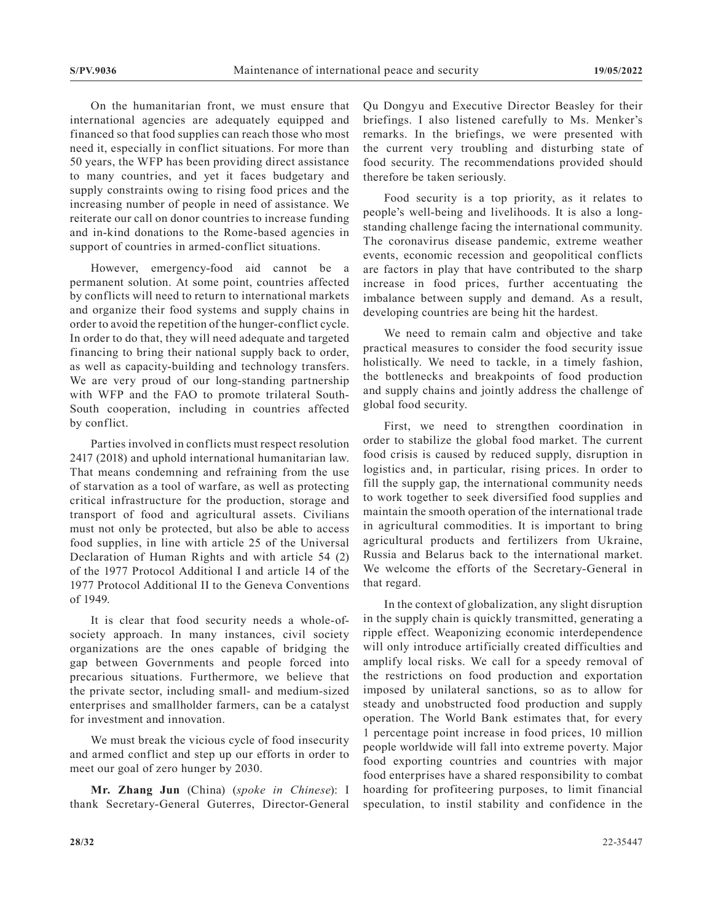On the humanitarian front, we must ensure that international agencies are adequately equipped and financed so that food supplies can reach those who most need it, especially in conflict situations. For more than 50 years, the WFP has been providing direct assistance to many countries, and yet it faces budgetary and supply constraints owing to rising food prices and the increasing number of people in need of assistance. We reiterate our call on donor countries to increase funding and in-kind donations to the Rome-based agencies in support of countries in armed-conflict situations.

However, emergency-food aid cannot be a permanent solution. At some point, countries affected by conflicts will need to return to international markets and organize their food systems and supply chains in order to avoid the repetition of the hunger-conflict cycle. In order to do that, they will need adequate and targeted financing to bring their national supply back to order, as well as capacity-building and technology transfers. We are very proud of our long-standing partnership with WFP and the FAO to promote trilateral South-South cooperation, including in countries affected by conflict.

Parties involved in conflicts must respect resolution 2417 (2018) and uphold international humanitarian law. That means condemning and refraining from the use of starvation as a tool of warfare, as well as protecting critical infrastructure for the production, storage and transport of food and agricultural assets. Civilians must not only be protected, but also be able to access food supplies, in line with article 25 of the Universal Declaration of Human Rights and with article 54 (2) of the 1977 Protocol Additional I and article 14 of the 1977 Protocol Additional II to the Geneva Conventions of 1949.

It is clear that food security needs a whole-ofsociety approach. In many instances, civil society organizations are the ones capable of bridging the gap between Governments and people forced into precarious situations. Furthermore, we believe that the private sector, including small- and medium-sized enterprises and smallholder farmers, can be a catalyst for investment and innovation.

We must break the vicious cycle of food insecurity and armed conflict and step up our efforts in order to meet our goal of zero hunger by 2030.

**Mr. Zhang Jun** (China) (*spoke in Chinese*): I thank Secretary-General Guterres, Director-General Qu Dongyu and Executive Director Beasley for their briefings. I also listened carefully to Ms. Menker's remarks. In the briefings, we were presented with the current very troubling and disturbing state of food security. The recommendations provided should therefore be taken seriously.

Food security is a top priority, as it relates to people's well-being and livelihoods. It is also a longstanding challenge facing the international community. The coronavirus disease pandemic, extreme weather events, economic recession and geopolitical conflicts are factors in play that have contributed to the sharp increase in food prices, further accentuating the imbalance between supply and demand. As a result, developing countries are being hit the hardest.

We need to remain calm and objective and take practical measures to consider the food security issue holistically. We need to tackle, in a timely fashion, the bottlenecks and breakpoints of food production and supply chains and jointly address the challenge of global food security.

First, we need to strengthen coordination in order to stabilize the global food market. The current food crisis is caused by reduced supply, disruption in logistics and, in particular, rising prices. In order to fill the supply gap, the international community needs to work together to seek diversified food supplies and maintain the smooth operation of the international trade in agricultural commodities. It is important to bring agricultural products and fertilizers from Ukraine, Russia and Belarus back to the international market. We welcome the efforts of the Secretary-General in that regard.

In the context of globalization, any slight disruption in the supply chain is quickly transmitted, generating a ripple effect. Weaponizing economic interdependence will only introduce artificially created difficulties and amplify local risks. We call for a speedy removal of the restrictions on food production and exportation imposed by unilateral sanctions, so as to allow for steady and unobstructed food production and supply operation. The World Bank estimates that, for every 1 percentage point increase in food prices, 10 million people worldwide will fall into extreme poverty. Major food exporting countries and countries with major food enterprises have a shared responsibility to combat hoarding for profiteering purposes, to limit financial speculation, to instil stability and confidence in the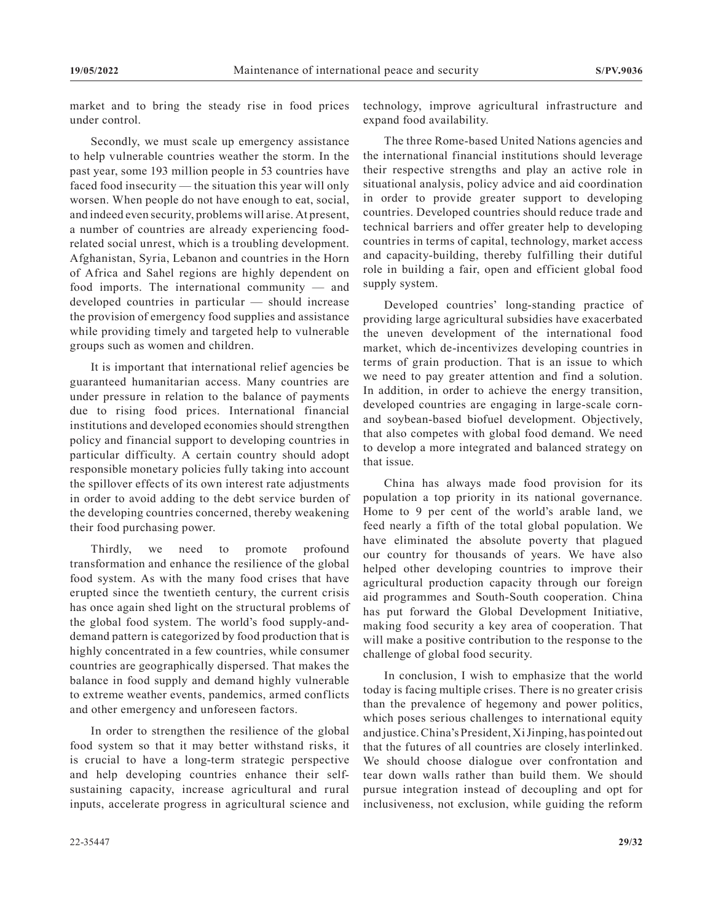market and to bring the steady rise in food prices under control.

Secondly, we must scale up emergency assistance to help vulnerable countries weather the storm. In the past year, some 193 million people in 53 countries have faced food insecurity — the situation this year will only worsen. When people do not have enough to eat, social, and indeed even security, problems will arise. At present, a number of countries are already experiencing foodrelated social unrest, which is a troubling development. Afghanistan, Syria, Lebanon and countries in the Horn of Africa and Sahel regions are highly dependent on food imports. The international community — and developed countries in particular — should increase the provision of emergency food supplies and assistance while providing timely and targeted help to vulnerable groups such as women and children.

It is important that international relief agencies be guaranteed humanitarian access. Many countries are under pressure in relation to the balance of payments due to rising food prices. International financial institutions and developed economies should strengthen policy and financial support to developing countries in particular difficulty. A certain country should adopt responsible monetary policies fully taking into account the spillover effects of its own interest rate adjustments in order to avoid adding to the debt service burden of the developing countries concerned, thereby weakening their food purchasing power.

Thirdly, we need to promote profound transformation and enhance the resilience of the global food system. As with the many food crises that have erupted since the twentieth century, the current crisis has once again shed light on the structural problems of the global food system. The world's food supply-anddemand pattern is categorized by food production that is highly concentrated in a few countries, while consumer countries are geographically dispersed. That makes the balance in food supply and demand highly vulnerable to extreme weather events, pandemics, armed conflicts and other emergency and unforeseen factors.

In order to strengthen the resilience of the global food system so that it may better withstand risks, it is crucial to have a long-term strategic perspective and help developing countries enhance their selfsustaining capacity, increase agricultural and rural inputs, accelerate progress in agricultural science and technology, improve agricultural infrastructure and expand food availability.

The three Rome-based United Nations agencies and the international financial institutions should leverage their respective strengths and play an active role in situational analysis, policy advice and aid coordination in order to provide greater support to developing countries. Developed countries should reduce trade and technical barriers and offer greater help to developing countries in terms of capital, technology, market access and capacity-building, thereby fulfilling their dutiful role in building a fair, open and efficient global food supply system.

Developed countries' long-standing practice of providing large agricultural subsidies have exacerbated the uneven development of the international food market, which de-incentivizes developing countries in terms of grain production. That is an issue to which we need to pay greater attention and find a solution. In addition, in order to achieve the energy transition, developed countries are engaging in large-scale cornand soybean-based biofuel development. Objectively, that also competes with global food demand. We need to develop a more integrated and balanced strategy on that issue.

China has always made food provision for its population a top priority in its national governance. Home to 9 per cent of the world's arable land, we feed nearly a fifth of the total global population. We have eliminated the absolute poverty that plagued our country for thousands of years. We have also helped other developing countries to improve their agricultural production capacity through our foreign aid programmes and South-South cooperation. China has put forward the Global Development Initiative, making food security a key area of cooperation. That will make a positive contribution to the response to the challenge of global food security.

In conclusion, I wish to emphasize that the world today is facing multiple crises. There is no greater crisis than the prevalence of hegemony and power politics, which poses serious challenges to international equity and justice. China's President, Xi Jinping, has pointed out that the futures of all countries are closely interlinked. We should choose dialogue over confrontation and tear down walls rather than build them. We should pursue integration instead of decoupling and opt for inclusiveness, not exclusion, while guiding the reform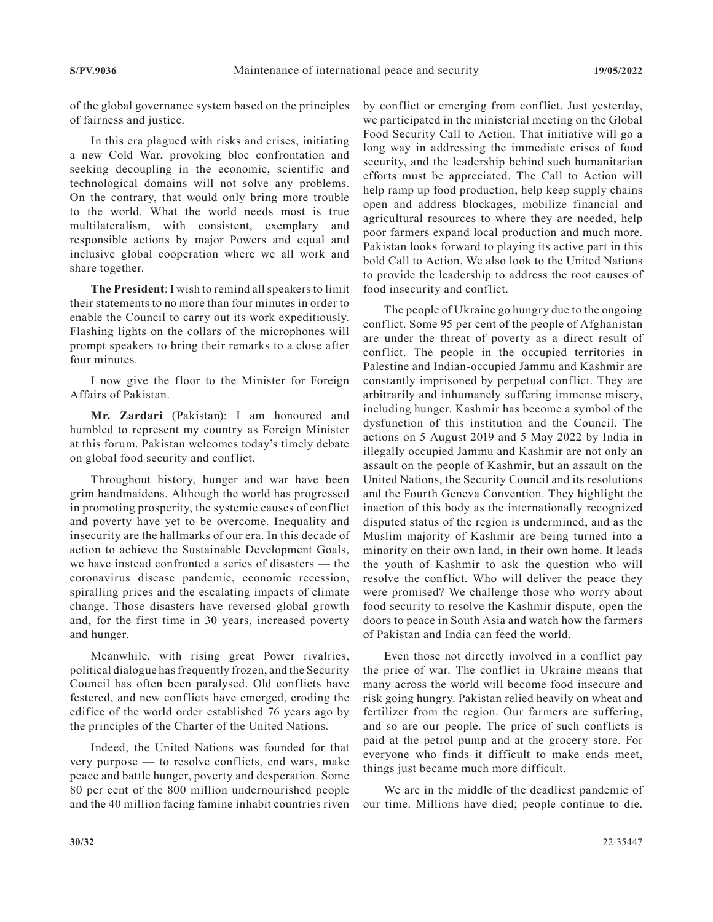of the global governance system based on the principles of fairness and justice.

In this era plagued with risks and crises, initiating a new Cold War, provoking bloc confrontation and seeking decoupling in the economic, scientific and technological domains will not solve any problems. On the contrary, that would only bring more trouble to the world. What the world needs most is true multilateralism, with consistent, exemplary and responsible actions by major Powers and equal and inclusive global cooperation where we all work and share together.

**The President**: I wish to remind all speakers to limit their statements to no more than four minutes in order to enable the Council to carry out its work expeditiously. Flashing lights on the collars of the microphones will prompt speakers to bring their remarks to a close after four minutes.

I now give the floor to the Minister for Foreign Affairs of Pakistan.

**Mr. Zardari** (Pakistan): I am honoured and humbled to represent my country as Foreign Minister at this forum. Pakistan welcomes today's timely debate on global food security and conflict.

Throughout history, hunger and war have been grim handmaidens. Although the world has progressed in promoting prosperity, the systemic causes of conflict and poverty have yet to be overcome. Inequality and insecurity are the hallmarks of our era. In this decade of action to achieve the Sustainable Development Goals, we have instead confronted a series of disasters — the coronavirus disease pandemic, economic recession, spiralling prices and the escalating impacts of climate change. Those disasters have reversed global growth and, for the first time in 30 years, increased poverty and hunger.

Meanwhile, with rising great Power rivalries, political dialogue has frequently frozen, and the Security Council has often been paralysed. Old conflicts have festered, and new conflicts have emerged, eroding the edifice of the world order established 76 years ago by the principles of the Charter of the United Nations.

Indeed, the United Nations was founded for that very purpose — to resolve conflicts, end wars, make peace and battle hunger, poverty and desperation. Some 80 per cent of the 800 million undernourished people and the 40 million facing famine inhabit countries riven

by conflict or emerging from conflict. Just yesterday, we participated in the ministerial meeting on the Global Food Security Call to Action. That initiative will go a long way in addressing the immediate crises of food security, and the leadership behind such humanitarian efforts must be appreciated. The Call to Action will help ramp up food production, help keep supply chains open and address blockages, mobilize financial and agricultural resources to where they are needed, help poor farmers expand local production and much more. Pakistan looks forward to playing its active part in this bold Call to Action. We also look to the United Nations to provide the leadership to address the root causes of food insecurity and conflict.

The people of Ukraine go hungry due to the ongoing conflict. Some 95 per cent of the people of Afghanistan are under the threat of poverty as a direct result of conflict. The people in the occupied territories in Palestine and Indian-occupied Jammu and Kashmir are constantly imprisoned by perpetual conflict. They are arbitrarily and inhumanely suffering immense misery, including hunger. Kashmir has become a symbol of the dysfunction of this institution and the Council. The actions on 5 August 2019 and 5 May 2022 by India in illegally occupied Jammu and Kashmir are not only an assault on the people of Kashmir, but an assault on the United Nations, the Security Council and its resolutions and the Fourth Geneva Convention. They highlight the inaction of this body as the internationally recognized disputed status of the region is undermined, and as the Muslim majority of Kashmir are being turned into a minority on their own land, in their own home. It leads the youth of Kashmir to ask the question who will resolve the conflict. Who will deliver the peace they were promised? We challenge those who worry about food security to resolve the Kashmir dispute, open the doors to peace in South Asia and watch how the farmers of Pakistan and India can feed the world.

Even those not directly involved in a conflict pay the price of war. The conflict in Ukraine means that many across the world will become food insecure and risk going hungry. Pakistan relied heavily on wheat and fertilizer from the region. Our farmers are suffering, and so are our people. The price of such conflicts is paid at the petrol pump and at the grocery store. For everyone who finds it difficult to make ends meet, things just became much more difficult.

We are in the middle of the deadliest pandemic of our time. Millions have died; people continue to die.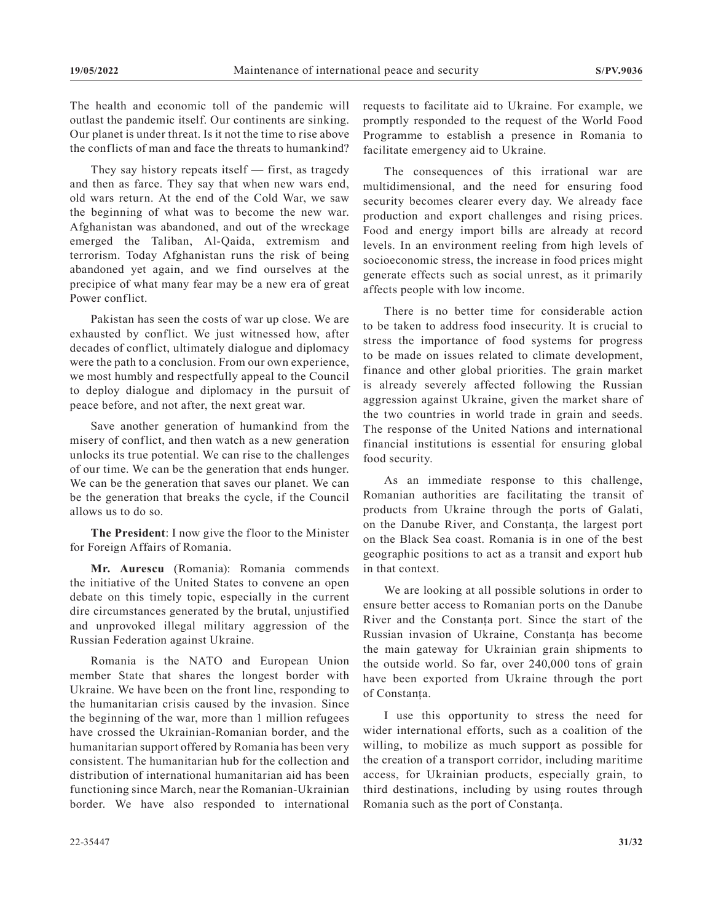The health and economic toll of the pandemic will outlast the pandemic itself. Our continents are sinking. Our planet is under threat. Is it not the time to rise above the conflicts of man and face the threats to humankind?

They say history repeats itself — first, as tragedy and then as farce. They say that when new wars end, old wars return. At the end of the Cold War, we saw the beginning of what was to become the new war. Afghanistan was abandoned, and out of the wreckage emerged the Taliban, Al-Qaida, extremism and terrorism. Today Afghanistan runs the risk of being abandoned yet again, and we find ourselves at the precipice of what many fear may be a new era of great Power conflict.

Pakistan has seen the costs of war up close. We are exhausted by conflict. We just witnessed how, after decades of conflict, ultimately dialogue and diplomacy were the path to a conclusion. From our own experience, we most humbly and respectfully appeal to the Council to deploy dialogue and diplomacy in the pursuit of peace before, and not after, the next great war.

Save another generation of humankind from the misery of conflict, and then watch as a new generation unlocks its true potential. We can rise to the challenges of our time. We can be the generation that ends hunger. We can be the generation that saves our planet. We can be the generation that breaks the cycle, if the Council allows us to do so.

**The President**: I now give the floor to the Minister for Foreign Affairs of Romania.

**Mr. Aurescu** (Romania): Romania commends the initiative of the United States to convene an open debate on this timely topic, especially in the current dire circumstances generated by the brutal, unjustified and unprovoked illegal military aggression of the Russian Federation against Ukraine.

Romania is the NATO and European Union member State that shares the longest border with Ukraine. We have been on the front line, responding to the humanitarian crisis caused by the invasion. Since the beginning of the war, more than 1 million refugees have crossed the Ukrainian-Romanian border, and the humanitarian support offered by Romania has been very consistent. The humanitarian hub for the collection and distribution of international humanitarian aid has been functioning since March, near the Romanian-Ukrainian border. We have also responded to international

The consequences of this irrational war are multidimensional, and the need for ensuring food security becomes clearer every day. We already face production and export challenges and rising prices. Food and energy import bills are already at record levels. In an environment reeling from high levels of socioeconomic stress, the increase in food prices might generate effects such as social unrest, as it primarily affects people with low income.

There is no better time for considerable action to be taken to address food insecurity. It is crucial to stress the importance of food systems for progress to be made on issues related to climate development, finance and other global priorities. The grain market is already severely affected following the Russian aggression against Ukraine, given the market share of the two countries in world trade in grain and seeds. The response of the United Nations and international financial institutions is essential for ensuring global food security.

As an immediate response to this challenge, Romanian authorities are facilitating the transit of products from Ukraine through the ports of Galati, on the Danube River, and Constanța, the largest port on the Black Sea coast. Romania is in one of the best geographic positions to act as a transit and export hub in that context.

We are looking at all possible solutions in order to ensure better access to Romanian ports on the Danube River and the Constanța port. Since the start of the Russian invasion of Ukraine, Constanța has become the main gateway for Ukrainian grain shipments to the outside world. So far, over 240,000 tons of grain have been exported from Ukraine through the port of Constanța.

I use this opportunity to stress the need for wider international efforts, such as a coalition of the willing, to mobilize as much support as possible for the creation of a transport corridor, including maritime access, for Ukrainian products, especially grain, to third destinations, including by using routes through Romania such as the port of Constanța.